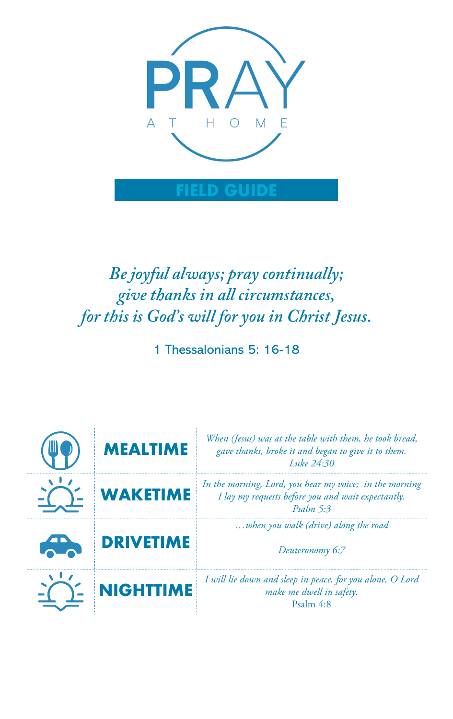

# *Be joyful always; pray continually; give thanks in all circumstances, for this is God's will for you in Christ Jesus.*

1 Thessalonians 5: 16-18

| <b>MEALTIME</b>  | When (Jesus) was at the table with them, he took bread,<br>gave thanks, broke it and began to give it to them.<br>Luke 24:30           |
|------------------|----------------------------------------------------------------------------------------------------------------------------------------|
| <b>WAKETIME</b>  | In the morning, Lord, you hear my voice; in the morning<br>I lay my requests before you and wait expectantly.<br>$P_{\text{Salm}}$ 5:3 |
| <b>DRIVETIME</b> | when you walk (drive) along the road<br>Deuteronomy 6:7                                                                                |
| <b>NIGHTTIME</b> | I will lie down and sleep in peace, for you alone, O Lord<br>make me dwell in safety.<br>Psalm 4:8                                     |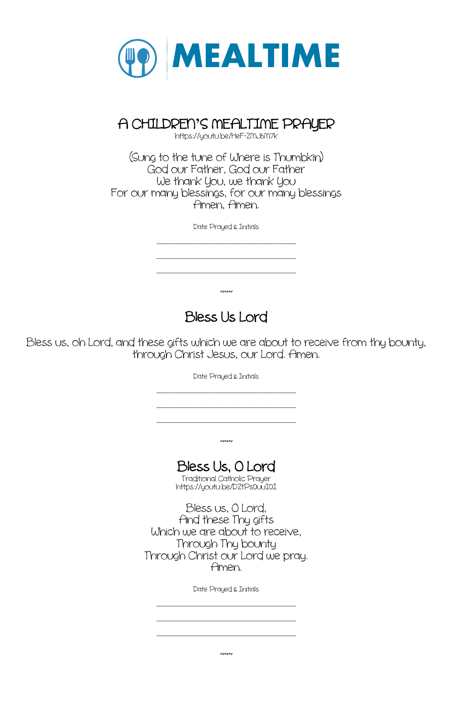

# A CHILDREN**'**S NEALTINE PRAYER https://youtu.be/HeF-ZNJ6N7k

(Sung to the tune of Where is Thumbkin) God our Father, God our Father We thank You, we thank You For our many blessings, for our many blessings Amen, Amen.

Date Prayed & Initials

\_\_\_\_\_\_\_\_\_\_\_\_\_\_\_\_\_\_\_\_\_\_\_\_\_\_\_\_\_\_\_\_\_\_\_\_\_\_\_\_\_\_\_\_\_\_\_\_\_\_\_ \_\_\_\_\_\_\_\_\_\_\_\_\_\_\_\_\_\_\_\_\_\_\_\_\_\_\_\_\_\_\_\_\_\_\_\_\_\_\_\_\_\_\_\_\_\_\_\_\_\_\_ \_\_\_\_\_\_\_\_\_\_\_\_\_\_\_\_\_\_\_\_\_\_\_\_\_\_\_\_\_\_\_\_\_\_\_\_\_\_\_\_\_\_\_\_\_\_\_\_\_\_\_

 $~\sim~$ 

### Bless Us Lord

Bless us, oh Lord, and these gifts which we are about to receive from thy bounty, through Christ Jesus, our Lord. Amen.

Date Prayed & Initials

\_\_\_\_\_\_\_\_\_\_\_\_\_\_\_\_\_\_\_\_\_\_\_\_\_\_\_\_\_\_\_\_\_\_\_\_\_\_\_\_\_\_\_\_\_\_\_\_\_\_\_

\_\_\_\_\_\_\_\_\_\_\_\_\_\_\_\_\_\_\_\_\_\_\_\_\_\_\_\_\_\_\_\_\_\_\_\_\_\_\_\_\_\_\_\_\_\_\_\_\_\_\_ \_\_\_\_\_\_\_\_\_\_\_\_\_\_\_\_\_\_\_\_\_\_\_\_\_\_\_\_\_\_\_\_\_\_\_\_\_\_\_\_\_\_\_\_\_\_\_\_\_\_\_

 $~\sim~$ 

#### Bless Us, O Lord

-<br>Traditional Catholic Prayer<br>https://youtu.be/DZtPs0uuI0I

Bless us, O Lord, And these Thy gifts Which we are about to receive, Through Thy bounty Through Christ our Lord we pray. Amen.

Date Prayed & Initials

\_\_\_\_\_\_\_\_\_\_\_\_\_\_\_\_\_\_\_\_\_\_\_\_\_\_\_\_\_\_\_\_\_\_\_\_\_\_\_\_\_\_\_\_\_\_\_\_\_\_\_

\_\_\_\_\_\_\_\_\_\_\_\_\_\_\_\_\_\_\_\_\_\_\_\_\_\_\_\_\_\_\_\_\_\_\_\_\_\_\_\_\_\_\_\_\_\_\_\_\_\_\_ \_\_\_\_\_\_\_\_\_\_\_\_\_\_\_\_\_\_\_\_\_\_\_\_\_\_\_\_\_\_\_\_\_\_\_\_\_\_\_\_\_\_\_\_\_\_\_\_\_\_\_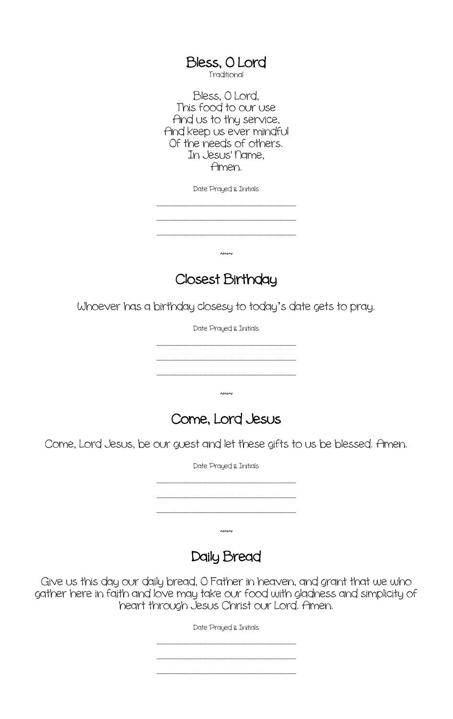Bless, O Lord<br>Traditional

Bless, O Lord, This food to our use And us to thy service, And keep us ever mindful Of the needs of others. In Jesus' Name, Amen.

Date Prayed & Initials

\_\_\_\_\_\_\_\_\_\_\_\_\_\_\_\_\_\_\_\_\_\_\_\_\_\_\_\_\_\_\_\_\_\_\_\_\_\_\_\_\_\_\_\_\_\_\_\_\_\_\_ \_\_\_\_\_\_\_\_\_\_\_\_\_\_\_\_\_\_\_\_\_\_\_\_\_\_\_\_\_\_\_\_\_\_\_\_\_\_\_\_\_\_\_\_\_\_\_\_\_\_\_

\_\_\_\_\_\_\_\_\_\_\_\_\_\_\_\_\_\_\_\_\_\_\_\_\_\_\_\_\_\_\_\_\_\_\_\_\_\_\_\_\_\_\_\_\_\_\_\_\_\_\_

 $~\sim~$ 

#### Closest Birthday

Whoever has a birthday closesy to today's date gets to pray.

Date Prayed & Initials

\_\_\_\_\_\_\_\_\_\_\_\_\_\_\_\_\_\_\_\_\_\_\_\_\_\_\_\_\_\_\_\_\_\_\_\_\_\_\_\_\_\_\_\_\_\_\_\_\_\_\_ \_\_\_\_\_\_\_\_\_\_\_\_\_\_\_\_\_\_\_\_\_\_\_\_\_\_\_\_\_\_\_\_\_\_\_\_\_\_\_\_\_\_\_\_\_\_\_\_\_\_\_

\_\_\_\_\_\_\_\_\_\_\_\_\_\_\_\_\_\_\_\_\_\_\_\_\_\_\_\_\_\_\_\_\_\_\_\_\_\_\_\_\_\_\_\_\_\_\_\_\_\_\_

~~~



Come, Lord Jesus, be our guest and let these gifts to us be blessed. Amen.

Date Prayed & Initials

\_\_\_\_\_\_\_\_\_\_\_\_\_\_\_\_\_\_\_\_\_\_\_\_\_\_\_\_\_\_\_\_\_\_\_\_\_\_\_\_\_\_\_\_\_\_\_\_\_\_\_ \_\_\_\_\_\_\_\_\_\_\_\_\_\_\_\_\_\_\_\_\_\_\_\_\_\_\_\_\_\_\_\_\_\_\_\_\_\_\_\_\_\_\_\_\_\_\_\_\_\_\_

 $\sim$ 

\_\_\_\_\_\_\_\_\_\_\_\_\_\_\_\_\_\_\_\_\_\_\_\_\_\_\_\_\_\_\_\_\_\_\_\_\_\_\_\_\_\_\_\_\_\_\_\_\_\_\_

Daily Bread

Give us this day our daily bread, O Father in heaven, and grant that we who gather here in faith and love may take our food with gladness and simplicity of heart through Jesus Christ our Lord. Amen.

Date Prayed & Initials

\_\_\_\_\_\_\_\_\_\_\_\_\_\_\_\_\_\_\_\_\_\_\_\_\_\_\_\_\_\_\_\_\_\_\_\_\_\_\_\_\_\_\_\_\_\_\_\_\_\_\_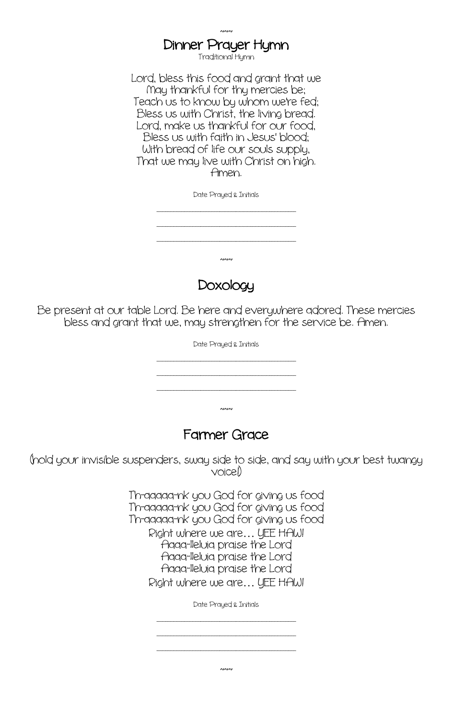### $\sim$ Dinner Prayer Hymn<br>Traditional Hymn

Lord, bless this food and grant that we Nay thankful for thy mercies be; Teach us to know by whom we're fed; Bless us with Christ, the living bread. Lord, make us thankful for our food, Bless us with faith in Jesus' blood; With bread of life our souls supply, That we may live with Christ on high. Amen.

Date Prayed & Initials

\_\_\_\_\_\_\_\_\_\_\_\_\_\_\_\_\_\_\_\_\_\_\_\_\_\_\_\_\_\_\_\_\_\_\_\_\_\_\_\_\_\_\_\_\_\_\_\_\_\_\_

\_\_\_\_\_\_\_\_\_\_\_\_\_\_\_\_\_\_\_\_\_\_\_\_\_\_\_\_\_\_\_\_\_\_\_\_\_\_\_\_\_\_\_\_\_\_\_\_\_\_\_ \_\_\_\_\_\_\_\_\_\_\_\_\_\_\_\_\_\_\_\_\_\_\_\_\_\_\_\_\_\_\_\_\_\_\_\_\_\_\_\_\_\_\_\_\_\_\_\_\_\_\_

 $~\sim~$ 

Doxology

Be present at our table Lord. Be here and everywhere adored. These mercies bless and grant that we, may strengthen for the service be. Amen.

Date Prayed & Initials

\_\_\_\_\_\_\_\_\_\_\_\_\_\_\_\_\_\_\_\_\_\_\_\_\_\_\_\_\_\_\_\_\_\_\_\_\_\_\_\_\_\_\_\_\_\_\_\_\_\_\_ \_\_\_\_\_\_\_\_\_\_\_\_\_\_\_\_\_\_\_\_\_\_\_\_\_\_\_\_\_\_\_\_\_\_\_\_\_\_\_\_\_\_\_\_\_\_\_\_\_\_\_

 $~\sim~$ 

\_\_\_\_\_\_\_\_\_\_\_\_\_\_\_\_\_\_\_\_\_\_\_\_\_\_\_\_\_\_\_\_\_\_\_\_\_\_\_\_\_\_\_\_\_\_\_\_\_\_\_

#### Farmer Grace

(hold your invisible suspenders, sway side to side, and say with your best twangy voice!)

> Th-aaaaa-nk you God for giving us food Th-aaaaa-nk you God for giving us food Th-aaaaa-nk you God for giving us food Right where we are… YEE HAW! Aaaa-lleluia praise the Lord Aaaa-lleluia praise the Lord Aaaa-lleluia praise the Lord Right where we are… YEE HAW!

> > Date Prayed & Initials

\_\_\_\_\_\_\_\_\_\_\_\_\_\_\_\_\_\_\_\_\_\_\_\_\_\_\_\_\_\_\_\_\_\_\_\_\_\_\_\_\_\_\_\_\_\_\_\_\_\_\_ \_\_\_\_\_\_\_\_\_\_\_\_\_\_\_\_\_\_\_\_\_\_\_\_\_\_\_\_\_\_\_\_\_\_\_\_\_\_\_\_\_\_\_\_\_\_\_\_\_\_\_

 $~\sim~$ 

\_\_\_\_\_\_\_\_\_\_\_\_\_\_\_\_\_\_\_\_\_\_\_\_\_\_\_\_\_\_\_\_\_\_\_\_\_\_\_\_\_\_\_\_\_\_\_\_\_\_\_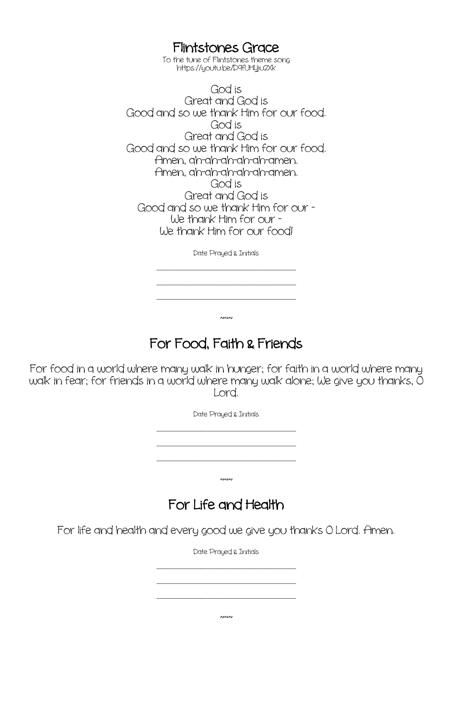Flintstones Grace<br>To the tune of Flintstones theme song

https://youtu.be/D9fUHYju2Xk

God is Great and God is Good and so we thank Him for our food. God is Great and God is Good and so we thank Him for our food. Amen, ah-ah-ah-ah-ah-amen. Amen, ah-ah-ah-ah-ah-amen. God is Great and God is Good and so we thank Him for our - We thank Him for our - We thank Him for our food!

Date Prayed & Initials

\_\_\_\_\_\_\_\_\_\_\_\_\_\_\_\_\_\_\_\_\_\_\_\_\_\_\_\_\_\_\_\_\_\_\_\_\_\_\_\_\_\_\_\_\_\_\_\_\_\_\_

\_\_\_\_\_\_\_\_\_\_\_\_\_\_\_\_\_\_\_\_\_\_\_\_\_\_\_\_\_\_\_\_\_\_\_\_\_\_\_\_\_\_\_\_\_\_\_\_\_\_\_ \_\_\_\_\_\_\_\_\_\_\_\_\_\_\_\_\_\_\_\_\_\_\_\_\_\_\_\_\_\_\_\_\_\_\_\_\_\_\_\_\_\_\_\_\_\_\_\_\_\_\_

### For Food, Faith & Friends

 $~\sim~$ 

For food in a world where many walk in hunger; for faith in a world where many walk in fear; for friends in a world where many walk alone; We give you thanks, O Lord.

Date Prayed & Initials

\_\_\_\_\_\_\_\_\_\_\_\_\_\_\_\_\_\_\_\_\_\_\_\_\_\_\_\_\_\_\_\_\_\_\_\_\_\_\_\_\_\_\_\_\_\_\_\_\_\_\_ \_\_\_\_\_\_\_\_\_\_\_\_\_\_\_\_\_\_\_\_\_\_\_\_\_\_\_\_\_\_\_\_\_\_\_\_\_\_\_\_\_\_\_\_\_\_\_\_\_\_\_ \_\_\_\_\_\_\_\_\_\_\_\_\_\_\_\_\_\_\_\_\_\_\_\_\_\_\_\_\_\_\_\_\_\_\_\_\_\_\_\_\_\_\_\_\_\_\_\_\_\_\_

 $~\sim~$ 

### For Life and Health

For life and health and every good we give you thanks O Lord. Amen.

Date Prayed & Initials

\_\_\_\_\_\_\_\_\_\_\_\_\_\_\_\_\_\_\_\_\_\_\_\_\_\_\_\_\_\_\_\_\_\_\_\_\_\_\_\_\_\_\_\_\_\_\_\_\_\_\_ \_\_\_\_\_\_\_\_\_\_\_\_\_\_\_\_\_\_\_\_\_\_\_\_\_\_\_\_\_\_\_\_\_\_\_\_\_\_\_\_\_\_\_\_\_\_\_\_\_\_\_ \_\_\_\_\_\_\_\_\_\_\_\_\_\_\_\_\_\_\_\_\_\_\_\_\_\_\_\_\_\_\_\_\_\_\_\_\_\_\_\_\_\_\_\_\_\_\_\_\_\_\_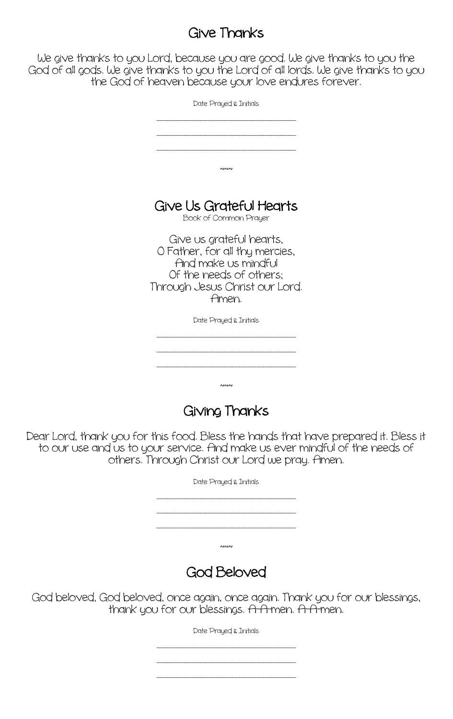### Give Thanks

We give thanks to you Lord, because you are good. We give thanks to you the God of all gods. We give thanks to you the Lord of all lords. We give thanks to you the God of heaven because your love endures forever.

| Date Prayed & Initials                                                                                                                         |
|------------------------------------------------------------------------------------------------------------------------------------------------|
|                                                                                                                                                |
|                                                                                                                                                |
| 1010                                                                                                                                           |
|                                                                                                                                                |
| Give Us Grateful Hearts                                                                                                                        |
| Book of Common Prayer                                                                                                                          |
| Give us grateful hearts,<br>O Father, for all thy mercies,<br>And make us mindful<br>Of the needs of others:<br>Through Jesus Christ our Lord. |
| Amen.                                                                                                                                          |
| Date Prayed & Initials                                                                                                                         |
|                                                                                                                                                |
|                                                                                                                                                |

### Giving Thanks

 $~\sim~$ 

Dear Lord, thank you for this food. Bless the hands that have prepared it. Bless it to our use and us to your service. And make us ever mindful of the needs of others. Through Christ our Lord we pray. Amen.

| Date Prayed & Initials |  |
|------------------------|--|
|                        |  |
|                        |  |
| $\sim$                 |  |
| <b>God Beloved</b>     |  |

God beloved, God beloved, once again, once again. Thank you for our blessings, thank you for our blessings. A-A-men. A-A-men.

Date Prayed & Initials

\_\_\_\_\_\_\_\_\_\_\_\_\_\_\_\_\_\_\_\_\_\_\_\_\_\_\_\_\_\_\_\_\_\_\_\_\_\_\_\_\_\_\_\_\_\_\_\_\_\_\_ \_\_\_\_\_\_\_\_\_\_\_\_\_\_\_\_\_\_\_\_\_\_\_\_\_\_\_\_\_\_\_\_\_\_\_\_\_\_\_\_\_\_\_\_\_\_\_\_\_\_\_ \_\_\_\_\_\_\_\_\_\_\_\_\_\_\_\_\_\_\_\_\_\_\_\_\_\_\_\_\_\_\_\_\_\_\_\_\_\_\_\_\_\_\_\_\_\_\_\_\_\_\_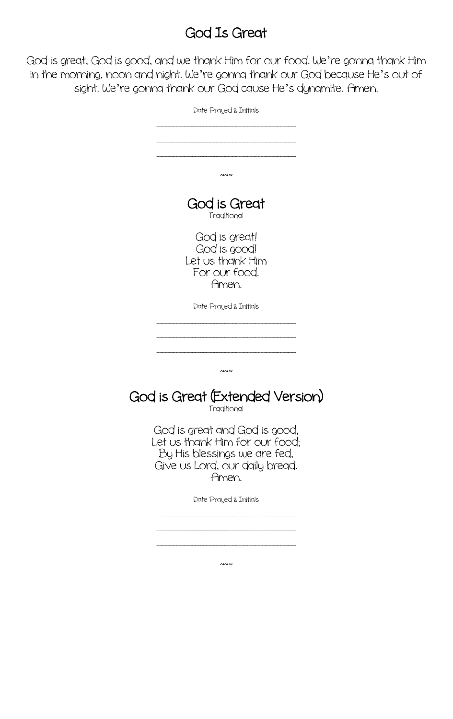### God Is Great

God is great, God is good, and we thank Him for our food. We're gonna thank Him in the morning, noon and night. We're gonna thank our God because He's out of sight. We're gonna thank our God cause He's dynamite. Amen.

| Date Prayed & Initials                                                                                                                     |
|--------------------------------------------------------------------------------------------------------------------------------------------|
|                                                                                                                                            |
|                                                                                                                                            |
| ៷៷៷                                                                                                                                        |
| God is Great<br>Traditional                                                                                                                |
| God is great!<br>God is good!<br>Let us thank Him<br>For our food.                                                                         |
| Amen.                                                                                                                                      |
| Date Prayed & Initials                                                                                                                     |
|                                                                                                                                            |
|                                                                                                                                            |
| ∼∾                                                                                                                                         |
| God is Great (Extended Version)<br>Traditional                                                                                             |
| God is great and God is good,<br>Let us thank Him for our food;<br>By His blessings we are fed,<br>Give us Lord, our daily bread.<br>Amen. |
| Date Prayed & Initials                                                                                                                     |
|                                                                                                                                            |

 $~\sim~$ 

\_\_\_\_\_\_\_\_\_\_\_\_\_\_\_\_\_\_\_\_\_\_\_\_\_\_\_\_\_\_\_\_\_\_\_\_\_\_\_\_\_\_\_\_\_\_\_\_\_\_\_

\_\_\_\_\_\_\_\_\_\_\_\_\_\_\_\_\_\_\_\_\_\_\_\_\_\_\_\_\_\_\_\_\_\_\_\_\_\_\_\_\_\_\_\_\_\_\_\_\_\_\_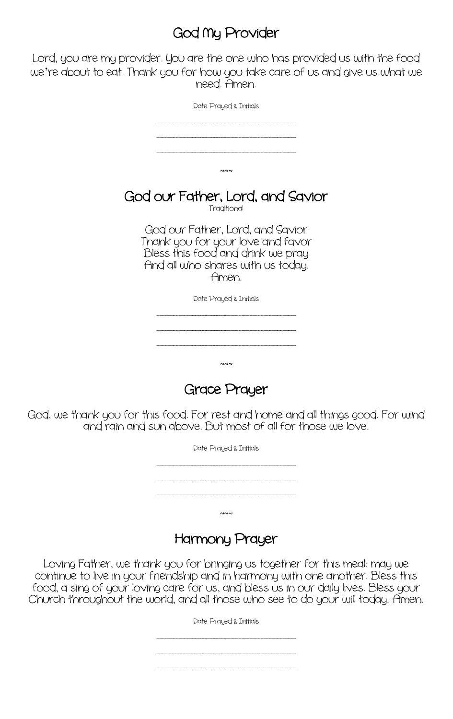# God Ny Provider

Lord, you are my provider. You are the one who has provided us with the food we're about to eat. Thank you for how you take care of us and give us what we need. Amen.

| Date Prayed & Initials                                                                                                                                   |
|----------------------------------------------------------------------------------------------------------------------------------------------------------|
|                                                                                                                                                          |
|                                                                                                                                                          |
|                                                                                                                                                          |
| ∼∾                                                                                                                                                       |
| God our Father, Lord, and Savior<br>Traditional                                                                                                          |
| God our Father, Lord, and Savior<br>Thank you for your love and favor<br>Bless this food and drink we pray<br>And all who shares with us today.<br>Amen. |
| Date Prayed & Initials                                                                                                                                   |
|                                                                                                                                                          |
|                                                                                                                                                          |
|                                                                                                                                                          |
| ∼∾                                                                                                                                                       |

Grace Prayer

God, we thank you for this food. For rest and home and all things good. For wind and rain and sun above. But most of all for those we love.



#### Harmony Prayer

Loving Father, we thank you for bringing us together for this meal: may we continue to live in your friendship and in harmony with one another. Bless this food, a sing of your loving care for us, and bless us in our daily lives. Bless your Church throughout the world, and all those who see to do your will today. Amen.

Date Prayed & Initials

\_\_\_\_\_\_\_\_\_\_\_\_\_\_\_\_\_\_\_\_\_\_\_\_\_\_\_\_\_\_\_\_\_\_\_\_\_\_\_\_\_\_\_\_\_\_\_\_\_\_\_ \_\_\_\_\_\_\_\_\_\_\_\_\_\_\_\_\_\_\_\_\_\_\_\_\_\_\_\_\_\_\_\_\_\_\_\_\_\_\_\_\_\_\_\_\_\_\_\_\_\_\_

\_\_\_\_\_\_\_\_\_\_\_\_\_\_\_\_\_\_\_\_\_\_\_\_\_\_\_\_\_\_\_\_\_\_\_\_\_\_\_\_\_\_\_\_\_\_\_\_\_\_\_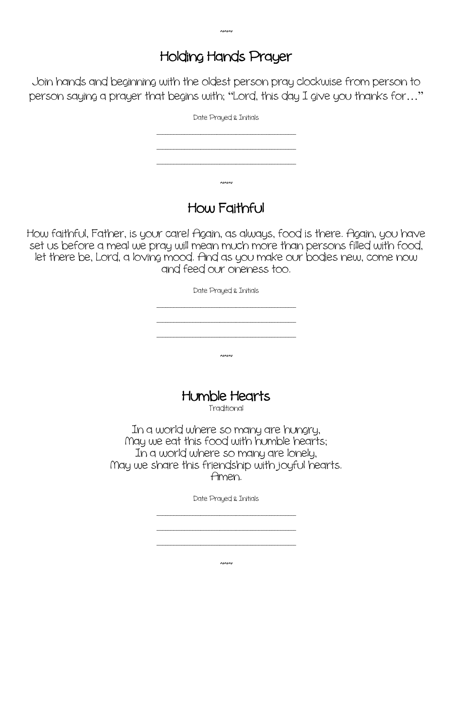# Holding Hands Prayer

Join hands and beginning with the oldest person pray clockwise from person to person saying a prayer that begins with; "Lord, this day I give you thanks for…"

| Date Prayed & Initials |  |
|------------------------|--|
|                        |  |
|                        |  |
| ∼∾                     |  |

#### How Faithful

How faithful, Father, is your care! Again, as always, food is there. Again, you have set us before a meal we pray will mean much more than persons filled with food, let there be, Lord, a loving mood. And as you make our bodies new, come now and feed our oneness too.

Date Prayed & Initials

\_\_\_\_\_\_\_\_\_\_\_\_\_\_\_\_\_\_\_\_\_\_\_\_\_\_\_\_\_\_\_\_\_\_\_\_\_\_\_\_\_\_\_\_\_\_\_\_\_\_\_

\_\_\_\_\_\_\_\_\_\_\_\_\_\_\_\_\_\_\_\_\_\_\_\_\_\_\_\_\_\_\_\_\_\_\_\_\_\_\_\_\_\_\_\_\_\_\_\_\_\_\_

 $~\sim~$ 

Humble Hearts Traditional

In a world where so many are hungry, Nay we eat this food with humble hearts; In a world where so many are lonely, Nay we share this friendship with joyful hearts. Amen.

Date Prayed & Initials

\_\_\_\_\_\_\_\_\_\_\_\_\_\_\_\_\_\_\_\_\_\_\_\_\_\_\_\_\_\_\_\_\_\_\_\_\_\_\_\_\_\_\_\_\_\_\_\_\_\_\_

\_\_\_\_\_\_\_\_\_\_\_\_\_\_\_\_\_\_\_\_\_\_\_\_\_\_\_\_\_\_\_\_\_\_\_\_\_\_\_\_\_\_\_\_\_\_\_\_\_\_\_ \_\_\_\_\_\_\_\_\_\_\_\_\_\_\_\_\_\_\_\_\_\_\_\_\_\_\_\_\_\_\_\_\_\_\_\_\_\_\_\_\_\_\_\_\_\_\_\_\_\_\_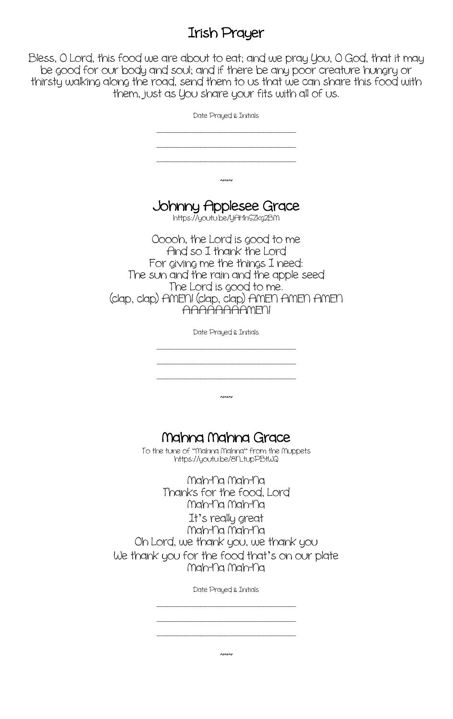#### Irish Prayer

Bless, O Lord, this food we are about to eat; and we pray You, O God, that it may be good for our body and soul; and if there be any poor creature hungry or thirsty walking along the road, send them to us that we can share this food with them, just as You share your fits with all of us.

| Date Prayed & Initials                                                                                                                                                                                                               |
|--------------------------------------------------------------------------------------------------------------------------------------------------------------------------------------------------------------------------------------|
|                                                                                                                                                                                                                                      |
| $\sim$                                                                                                                                                                                                                               |
| Johnny Applesee Grace<br>https://youtu.be/yAHhSZkg2BM                                                                                                                                                                                |
| Ooooh, the Lord is good to me<br>And so I thank the Lord<br>For giving me the things I need:<br>The sun and the rain and the apple seed<br>The Lord is good to me.<br>(clap, clap) AMEN! (clap, clap) AMEN AMEN AMEN<br>AAAAAAAAMFNI |
| Date Prayed & Initials                                                                                                                                                                                                               |
|                                                                                                                                                                                                                                      |
| $\sim$                                                                                                                                                                                                                               |
| Mahna Mahna Grace<br>To the tune of "Mahna Mahna" from the Muppets<br>https://youtu.be/8h_tupPBtWQ                                                                                                                                   |
| Mah-na Mah-na<br>Thanks for the food, Lord<br>Mah-na Mah-na<br>It's really great<br>Mah-Na Mah-Na<br>Oh Lord, we thank you, we thank you<br>We thank you for the food that's on our plate<br>Mah-na Mah-na                           |
| Date Prayed & Initials                                                                                                                                                                                                               |
|                                                                                                                                                                                                                                      |

 $~\sim~$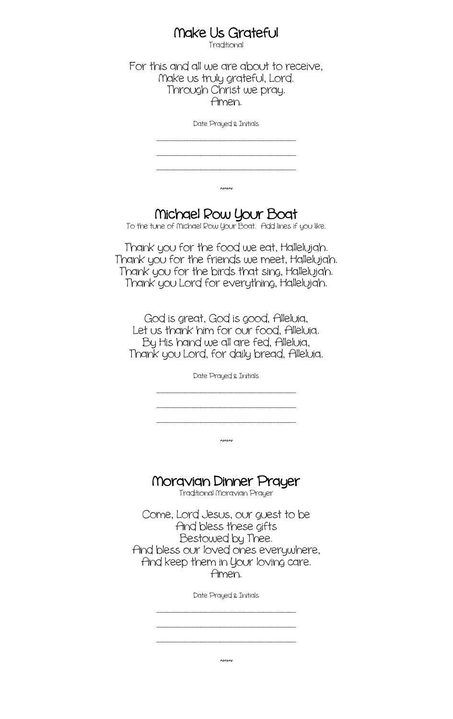# Make Us Grateful<br>Traditional

For this and all we are about to receive, Nake us truly grateful, Lord. Through Christ we pray. Amen.

Date Prayed & Initials

\_\_\_\_\_\_\_\_\_\_\_\_\_\_\_\_\_\_\_\_\_\_\_\_\_\_\_\_\_\_\_\_\_\_\_\_\_\_\_\_\_\_\_\_\_\_\_\_\_\_\_

\_\_\_\_\_\_\_\_\_\_\_\_\_\_\_\_\_\_\_\_\_\_\_\_\_\_\_\_\_\_\_\_\_\_\_\_\_\_\_\_\_\_\_\_\_\_\_\_\_\_\_ \_\_\_\_\_\_\_\_\_\_\_\_\_\_\_\_\_\_\_\_\_\_\_\_\_\_\_\_\_\_\_\_\_\_\_\_\_\_\_\_\_\_\_\_\_\_\_\_\_\_\_

# Michael Row Your Boat<br>To the tune of Michael Row Your Boat. Add lines if you like.

 $~\sim~$ 

Thank you for the food we eat, Hallelujah. Thank you for the friends we meet, Hallelujah. Thank you for the birds that sing, Hallelujah. Thank you Lord for everything, Hallelujah.

God is great, God is good, Alleluia, Let us thank him for our food, Alleluia. By His hand we all are fed, Alleluia, Thank you Lord, for daily bread, Alleluia.

Date Prayed & Initials

\_\_\_\_\_\_\_\_\_\_\_\_\_\_\_\_\_\_\_\_\_\_\_\_\_\_\_\_\_\_\_\_\_\_\_\_\_\_\_\_\_\_\_\_\_\_\_\_\_\_\_ \_\_\_\_\_\_\_\_\_\_\_\_\_\_\_\_\_\_\_\_\_\_\_\_\_\_\_\_\_\_\_\_\_\_\_\_\_\_\_\_\_\_\_\_\_\_\_\_\_\_\_

\_\_\_\_\_\_\_\_\_\_\_\_\_\_\_\_\_\_\_\_\_\_\_\_\_\_\_\_\_\_\_\_\_\_\_\_\_\_\_\_\_\_\_\_\_\_\_\_\_\_\_

 $~\sim~$ 

# Noravian Dinner Prayer Traditional Noravian Prayer

Come, Lord Jesus, our guest to be And bless these gifts Bestowed by Thee. And bless our loved ones everywhere, And keep them in Your loving care. Amen.

Date Prayed & Initials

\_\_\_\_\_\_\_\_\_\_\_\_\_\_\_\_\_\_\_\_\_\_\_\_\_\_\_\_\_\_\_\_\_\_\_\_\_\_\_\_\_\_\_\_\_\_\_\_\_\_\_ \_\_\_\_\_\_\_\_\_\_\_\_\_\_\_\_\_\_\_\_\_\_\_\_\_\_\_\_\_\_\_\_\_\_\_\_\_\_\_\_\_\_\_\_\_\_\_\_\_\_\_ \_\_\_\_\_\_\_\_\_\_\_\_\_\_\_\_\_\_\_\_\_\_\_\_\_\_\_\_\_\_\_\_\_\_\_\_\_\_\_\_\_\_\_\_\_\_\_\_\_\_\_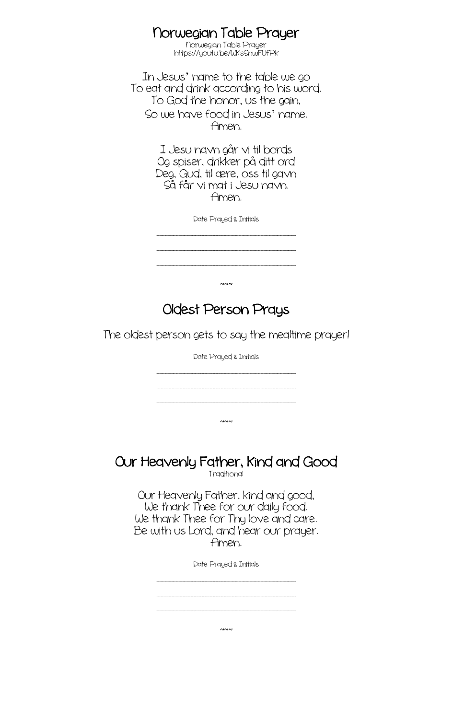#### Norwegian Table Prayer

Norwegian Table Prayer https://youtu.be/WKsSnwFUfPk

In Jesus' name to the table we go To eat and drink according to his word. To God the honor, us the gain, So we have food in Jesus' name. Amen.

> I Jesu navn går vi til bords Og spiser, drikker på ditt ord Deg, Gud, til ære, oss til gavn Så får vi mat i Jesu navn. Amen.

> > Date Prayed & Initials

\_\_\_\_\_\_\_\_\_\_\_\_\_\_\_\_\_\_\_\_\_\_\_\_\_\_\_\_\_\_\_\_\_\_\_\_\_\_\_\_\_\_\_\_\_\_\_\_\_\_\_ \_\_\_\_\_\_\_\_\_\_\_\_\_\_\_\_\_\_\_\_\_\_\_\_\_\_\_\_\_\_\_\_\_\_\_\_\_\_\_\_\_\_\_\_\_\_\_\_\_\_\_

\_\_\_\_\_\_\_\_\_\_\_\_\_\_\_\_\_\_\_\_\_\_\_\_\_\_\_\_\_\_\_\_\_\_\_\_\_\_\_\_\_\_\_\_\_\_\_\_\_\_\_

 $~\sim~$ 

Oldest Person Prays

The oldest person gets to say the mealtime prayer!

Date Prayed & Initials

\_\_\_\_\_\_\_\_\_\_\_\_\_\_\_\_\_\_\_\_\_\_\_\_\_\_\_\_\_\_\_\_\_\_\_\_\_\_\_\_\_\_\_\_\_\_\_\_\_\_\_ \_\_\_\_\_\_\_\_\_\_\_\_\_\_\_\_\_\_\_\_\_\_\_\_\_\_\_\_\_\_\_\_\_\_\_\_\_\_\_\_\_\_\_\_\_\_\_\_\_\_\_

\_\_\_\_\_\_\_\_\_\_\_\_\_\_\_\_\_\_\_\_\_\_\_\_\_\_\_\_\_\_\_\_\_\_\_\_\_\_\_\_\_\_\_\_\_\_\_\_\_\_\_

 $~\sim~$ 

# Our Heavenly Father, Kind and Good

Our Heavenly Father, kind and good, We thank Thee for our daily food. We thank Thee for Thy love and care. Be with us Lord, and hear our prayer. Amen.

Date Prayed & Initials

\_\_\_\_\_\_\_\_\_\_\_\_\_\_\_\_\_\_\_\_\_\_\_\_\_\_\_\_\_\_\_\_\_\_\_\_\_\_\_\_\_\_\_\_\_\_\_\_\_\_\_ \_\_\_\_\_\_\_\_\_\_\_\_\_\_\_\_\_\_\_\_\_\_\_\_\_\_\_\_\_\_\_\_\_\_\_\_\_\_\_\_\_\_\_\_\_\_\_\_\_\_\_

 $~\sim~$ 

\_\_\_\_\_\_\_\_\_\_\_\_\_\_\_\_\_\_\_\_\_\_\_\_\_\_\_\_\_\_\_\_\_\_\_\_\_\_\_\_\_\_\_\_\_\_\_\_\_\_\_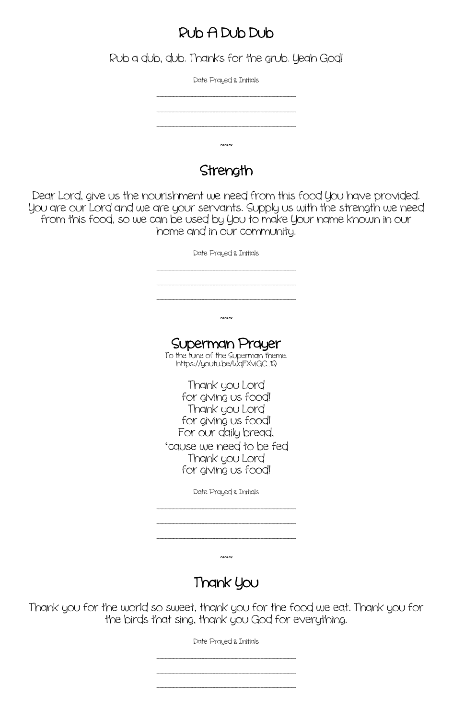#### Rub A Dub Dub

Rub a dub, dub. Thanks for the grub. Yeah God!

Date Prayed & Initials \_\_\_\_\_\_\_\_\_\_\_\_\_\_\_\_\_\_\_\_\_\_\_\_\_\_\_\_\_\_\_\_\_\_\_\_\_\_\_\_\_\_\_\_\_\_\_\_\_\_\_ \_\_\_\_\_\_\_\_\_\_\_\_\_\_\_\_\_\_\_\_\_\_\_\_\_\_\_\_\_\_\_\_\_\_\_\_\_\_\_\_\_\_\_\_\_\_\_\_\_\_\_ \_\_\_\_\_\_\_\_\_\_\_\_\_\_\_\_\_\_\_\_\_\_\_\_\_\_\_\_\_\_\_\_\_\_\_\_\_\_\_\_\_\_\_\_\_\_\_\_\_\_\_  $~\sim~$ 

#### **Strength**

Dear Lord, give us the nourishment we need from this food You have provided. You are our Lord and we are your servants. Supply us with the strength we need from this food, so we can be used by You to make Your name known in our home and in our community.

> Date Prayed & Initials \_\_\_\_\_\_\_\_\_\_\_\_\_\_\_\_\_\_\_\_\_\_\_\_\_\_\_\_\_\_\_\_\_\_\_\_\_\_\_\_\_\_\_\_\_\_\_\_\_\_\_ \_\_\_\_\_\_\_\_\_\_\_\_\_\_\_\_\_\_\_\_\_\_\_\_\_\_\_\_\_\_\_\_\_\_\_\_\_\_\_\_\_\_\_\_\_\_\_\_\_\_\_ \_\_\_\_\_\_\_\_\_\_\_\_\_\_\_\_\_\_\_\_\_\_\_\_\_\_\_\_\_\_\_\_\_\_\_\_\_\_\_\_\_\_\_\_\_\_\_\_\_\_\_  $~\sim~$ Superman Prayer To the tune of the Superman theme.<br>https://youtu.be/WqFXviGC\_1Q Thank you Lord for giving us food! Thank you Lord for giving us food! For our daily bread, 'cause we need to be fed Thank you Lord for giving us food! Date Prayed & Initials \_\_\_\_\_\_\_\_\_\_\_\_\_\_\_\_\_\_\_\_\_\_\_\_\_\_\_\_\_\_\_\_\_\_\_\_\_\_\_\_\_\_\_\_\_\_\_\_\_\_\_

> > $~\sim~$

\_\_\_\_\_\_\_\_\_\_\_\_\_\_\_\_\_\_\_\_\_\_\_\_\_\_\_\_\_\_\_\_\_\_\_\_\_\_\_\_\_\_\_\_\_\_\_\_\_\_\_

\_\_\_\_\_\_\_\_\_\_\_\_\_\_\_\_\_\_\_\_\_\_\_\_\_\_\_\_\_\_\_\_\_\_\_\_\_\_\_\_\_\_\_\_\_\_\_\_\_\_\_

# Thank You

Thank you for the world so sweet, thank you for the food we eat. Thank you for the birds that sing, thank you God for everything.

Date Prayed & Initials

\_\_\_\_\_\_\_\_\_\_\_\_\_\_\_\_\_\_\_\_\_\_\_\_\_\_\_\_\_\_\_\_\_\_\_\_\_\_\_\_\_\_\_\_\_\_\_\_\_\_\_ \_\_\_\_\_\_\_\_\_\_\_\_\_\_\_\_\_\_\_\_\_\_\_\_\_\_\_\_\_\_\_\_\_\_\_\_\_\_\_\_\_\_\_\_\_\_\_\_\_\_\_ \_\_\_\_\_\_\_\_\_\_\_\_\_\_\_\_\_\_\_\_\_\_\_\_\_\_\_\_\_\_\_\_\_\_\_\_\_\_\_\_\_\_\_\_\_\_\_\_\_\_\_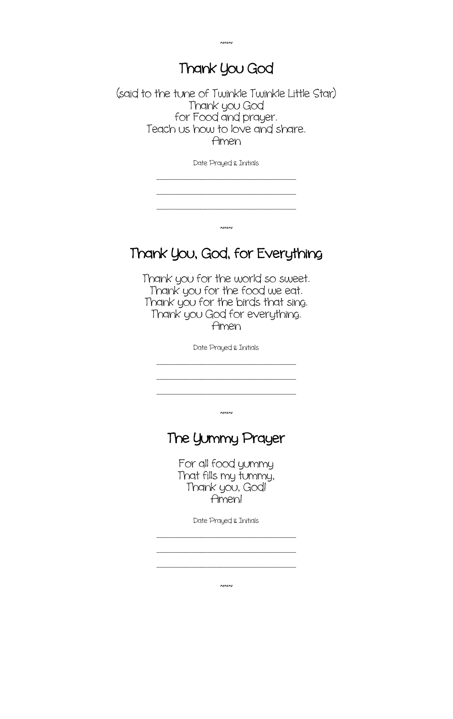#### Thank You God

 $~\sim~$ 

(said to the tune of Twinkle Twinkle Little Star) Thank you God for Food and prayer. Teach us how to love and share. Amen

Date Prayed & Initials

\_\_\_\_\_\_\_\_\_\_\_\_\_\_\_\_\_\_\_\_\_\_\_\_\_\_\_\_\_\_\_\_\_\_\_\_\_\_\_\_\_\_\_\_\_\_\_\_\_\_\_ \_\_\_\_\_\_\_\_\_\_\_\_\_\_\_\_\_\_\_\_\_\_\_\_\_\_\_\_\_\_\_\_\_\_\_\_\_\_\_\_\_\_\_\_\_\_\_\_\_\_\_

\_\_\_\_\_\_\_\_\_\_\_\_\_\_\_\_\_\_\_\_\_\_\_\_\_\_\_\_\_\_\_\_\_\_\_\_\_\_\_\_\_\_\_\_\_\_\_\_\_\_\_

 $~\sim~$ 

### Thank You, God, for Everything

Thank you for the world so sweet. Thank you for the food we eat. Thank you for the birds that sing. Thank you God for everything. Amen

Date Prayed & Initials

\_\_\_\_\_\_\_\_\_\_\_\_\_\_\_\_\_\_\_\_\_\_\_\_\_\_\_\_\_\_\_\_\_\_\_\_\_\_\_\_\_\_\_\_\_\_\_\_\_\_\_ \_\_\_\_\_\_\_\_\_\_\_\_\_\_\_\_\_\_\_\_\_\_\_\_\_\_\_\_\_\_\_\_\_\_\_\_\_\_\_\_\_\_\_\_\_\_\_\_\_\_\_ \_\_\_\_\_\_\_\_\_\_\_\_\_\_\_\_\_\_\_\_\_\_\_\_\_\_\_\_\_\_\_\_\_\_\_\_\_\_\_\_\_\_\_\_\_\_\_\_\_\_\_

 $~\sim~$ 

#### The Yummy Prayer

For all food yummy That fills my tummy, Thank you, God! Amen!

Date Prayed & Initials

\_\_\_\_\_\_\_\_\_\_\_\_\_\_\_\_\_\_\_\_\_\_\_\_\_\_\_\_\_\_\_\_\_\_\_\_\_\_\_\_\_\_\_\_\_\_\_\_\_\_\_ \_\_\_\_\_\_\_\_\_\_\_\_\_\_\_\_\_\_\_\_\_\_\_\_\_\_\_\_\_\_\_\_\_\_\_\_\_\_\_\_\_\_\_\_\_\_\_\_\_\_\_ \_\_\_\_\_\_\_\_\_\_\_\_\_\_\_\_\_\_\_\_\_\_\_\_\_\_\_\_\_\_\_\_\_\_\_\_\_\_\_\_\_\_\_\_\_\_\_\_\_\_\_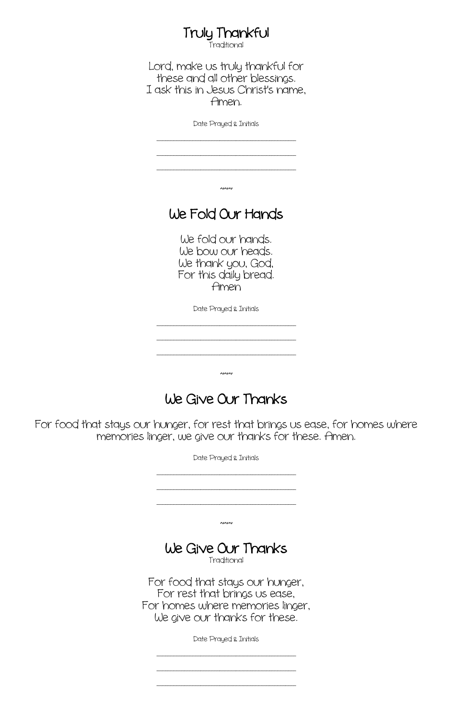# **Truly Thankful**<br>Traditional

Lord, make us truly thankful for these and all other blessings. I ask this in Jesus Christ's name, Amen.

Date Prayed & Initials

\_\_\_\_\_\_\_\_\_\_\_\_\_\_\_\_\_\_\_\_\_\_\_\_\_\_\_\_\_\_\_\_\_\_\_\_\_\_\_\_\_\_\_\_\_\_\_\_\_\_\_

\_\_\_\_\_\_\_\_\_\_\_\_\_\_\_\_\_\_\_\_\_\_\_\_\_\_\_\_\_\_\_\_\_\_\_\_\_\_\_\_\_\_\_\_\_\_\_\_\_\_\_ \_\_\_\_\_\_\_\_\_\_\_\_\_\_\_\_\_\_\_\_\_\_\_\_\_\_\_\_\_\_\_\_\_\_\_\_\_\_\_\_\_\_\_\_\_\_\_\_\_\_\_

 $~\sim~$ 

### We Fold Our Hands

We fold our hands. We bow our heads. We thank you, God, For this daily bread. Amen

Date Prayed & Initials

\_\_\_\_\_\_\_\_\_\_\_\_\_\_\_\_\_\_\_\_\_\_\_\_\_\_\_\_\_\_\_\_\_\_\_\_\_\_\_\_\_\_\_\_\_\_\_\_\_\_\_ \_\_\_\_\_\_\_\_\_\_\_\_\_\_\_\_\_\_\_\_\_\_\_\_\_\_\_\_\_\_\_\_\_\_\_\_\_\_\_\_\_\_\_\_\_\_\_\_\_\_\_

\_\_\_\_\_\_\_\_\_\_\_\_\_\_\_\_\_\_\_\_\_\_\_\_\_\_\_\_\_\_\_\_\_\_\_\_\_\_\_\_\_\_\_\_\_\_\_\_\_\_\_

 $~\sim~$ 

# We Give Our Thanks

For food that stays our hunger, for rest that brings us ease, for homes where memories linger, we give our thanks for these. Amen.

| Date Prayed & Initials                                                                                                                |
|---------------------------------------------------------------------------------------------------------------------------------------|
|                                                                                                                                       |
|                                                                                                                                       |
| <b>AIAIAI</b>                                                                                                                         |
| We Give Our Thanks<br>Traditional                                                                                                     |
| For food that stays our hunger,<br>For rest that brings us ease,<br>For homes where memories linger,<br>We give our thanks for these. |
| Date Praued & Initials                                                                                                                |
|                                                                                                                                       |
|                                                                                                                                       |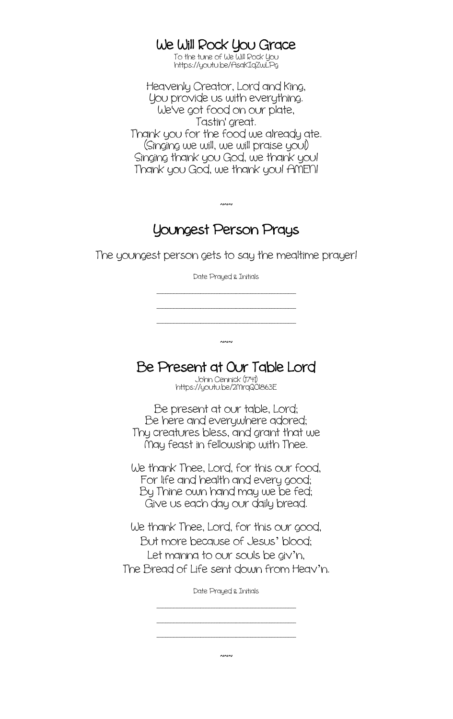# We Will Rock You Grace<br>To the tune of We Will Rock You

https://youtu.be/AsaKIqZwLPg

Heavenly Creator, Lord and King, You provide us with everything. We've got food on our plate, Tastin' great. Thank you for the food we already ate. (Singing we will, we will praise you!) Singing thank you God, we thank you! Thank you God, we thank you! ANEN!

### Youngest Person Prays

 $~\sim~$ 

The youngest person gets to say the mealtime prayer!

Date Prayed & Initials

\_\_\_\_\_\_\_\_\_\_\_\_\_\_\_\_\_\_\_\_\_\_\_\_\_\_\_\_\_\_\_\_\_\_\_\_\_\_\_\_\_\_\_\_\_\_\_\_\_\_\_ \_\_\_\_\_\_\_\_\_\_\_\_\_\_\_\_\_\_\_\_\_\_\_\_\_\_\_\_\_\_\_\_\_\_\_\_\_\_\_\_\_\_\_\_\_\_\_\_\_\_\_ \_\_\_\_\_\_\_\_\_\_\_\_\_\_\_\_\_\_\_\_\_\_\_\_\_\_\_\_\_\_\_\_\_\_\_\_\_\_\_\_\_\_\_\_\_\_\_\_\_\_\_

Be Present at Our Table Lord

 $~\sim~$ 

bhn Cennick (1741)<br>https://youtu.be/2MrqQOl863E

Be present at our table, Lord; Be here and everywhere adored; Thy creatures bless, and grant that we Nay feast in fellowship with Thee.

We thank Thee, Lord, for this our food, For life and health and every good; By Thine own hand may we be fed; Give us each day our daily bread.

We thank Thee, Lord, for this our good, But more because of Jesus' blood; Let manna to our souls be giv'n, The Bread of Life sent down from Heav'n.

Date Prayed & Initials

\_\_\_\_\_\_\_\_\_\_\_\_\_\_\_\_\_\_\_\_\_\_\_\_\_\_\_\_\_\_\_\_\_\_\_\_\_\_\_\_\_\_\_\_\_\_\_\_\_\_\_ \_\_\_\_\_\_\_\_\_\_\_\_\_\_\_\_\_\_\_\_\_\_\_\_\_\_\_\_\_\_\_\_\_\_\_\_\_\_\_\_\_\_\_\_\_\_\_\_\_\_\_ \_\_\_\_\_\_\_\_\_\_\_\_\_\_\_\_\_\_\_\_\_\_\_\_\_\_\_\_\_\_\_\_\_\_\_\_\_\_\_\_\_\_\_\_\_\_\_\_\_\_\_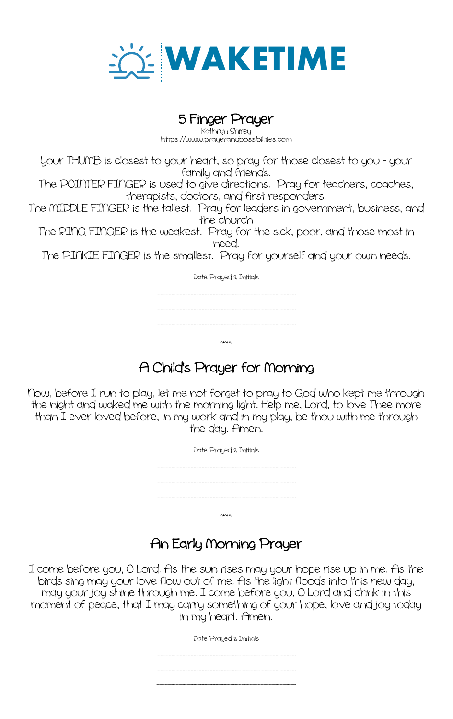

# 5 Finger Prayer

https://www.prayerandpossibilities.com

Your THUNB is closest to your heart, so pray for those closest to you - your family and friends.

The POINTER FINGER is used to give directions. Pray for teachers, coaches, therapists, doctors, and first responders.

The NIDDLE FINGER is the tallest. Pray for leaders in government, business, and the church

The RING FINGER is the weakest. Pray for the sick, poor, and those most in need.

The PINKIE FINGER is the smallest. Pray for yourself and your own needs.

Date Prayed & Initials

\_\_\_\_\_\_\_\_\_\_\_\_\_\_\_\_\_\_\_\_\_\_\_\_\_\_\_\_\_\_\_\_\_\_\_\_\_\_\_\_\_\_\_\_\_\_\_\_\_\_\_ \_\_\_\_\_\_\_\_\_\_\_\_\_\_\_\_\_\_\_\_\_\_\_\_\_\_\_\_\_\_\_\_\_\_\_\_\_\_\_\_\_\_\_\_\_\_\_\_\_\_\_ \_\_\_\_\_\_\_\_\_\_\_\_\_\_\_\_\_\_\_\_\_\_\_\_\_\_\_\_\_\_\_\_\_\_\_\_\_\_\_\_\_\_\_\_\_\_\_\_\_\_\_

# A Child's Prayer for Norning

 $~\sim~$ 

Now, before I run to play, let me not forget to pray to God who kept me through the night and waked me with the morning light. Help me, Lord, to love Thee more than I ever loved before, in my work and in my play, be thou with me through the day. Amen.

> Date Prayed & Initials \_\_\_\_\_\_\_\_\_\_\_\_\_\_\_\_\_\_\_\_\_\_\_\_\_\_\_\_\_\_\_\_\_\_\_\_\_\_\_\_\_\_\_\_\_\_\_\_\_\_\_ \_\_\_\_\_\_\_\_\_\_\_\_\_\_\_\_\_\_\_\_\_\_\_\_\_\_\_\_\_\_\_\_\_\_\_\_\_\_\_\_\_\_\_\_\_\_\_\_\_\_\_ \_\_\_\_\_\_\_\_\_\_\_\_\_\_\_\_\_\_\_\_\_\_\_\_\_\_\_\_\_\_\_\_\_\_\_\_\_\_\_\_\_\_\_\_\_\_\_\_\_\_\_  $~\sim~$

# An Early Norning Prayer

I come before you, O Lord. As the sun rises may your hope rise up in me. As the birds sing may your love flow out of me. As the light floods into this new day, may your joy shine through me. I come before you, O Lord and drink in this moment of peace, that I may carry something of your hope, love and joy today in my heart. Amen.

Date Prayed & Initials

\_\_\_\_\_\_\_\_\_\_\_\_\_\_\_\_\_\_\_\_\_\_\_\_\_\_\_\_\_\_\_\_\_\_\_\_\_\_\_\_\_\_\_\_\_\_\_\_\_\_\_ \_\_\_\_\_\_\_\_\_\_\_\_\_\_\_\_\_\_\_\_\_\_\_\_\_\_\_\_\_\_\_\_\_\_\_\_\_\_\_\_\_\_\_\_\_\_\_\_\_\_\_

\_\_\_\_\_\_\_\_\_\_\_\_\_\_\_\_\_\_\_\_\_\_\_\_\_\_\_\_\_\_\_\_\_\_\_\_\_\_\_\_\_\_\_\_\_\_\_\_\_\_\_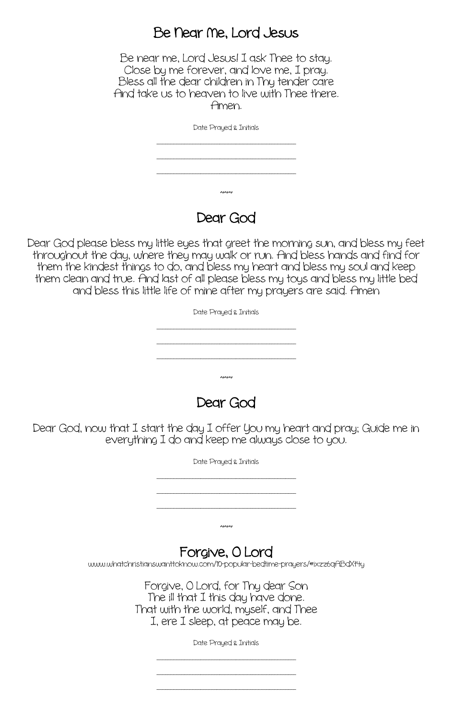#### Be Near Ne, Lord Jesus

Be near me, Lord Jesus! I ask Thee to stay. Close by me forever, and love me, I pray. Bless all the dear children in Thy tender care And take us to heaven to live with Thee there. Amen.

Date Prayed & Initials



#### Dear God

 $~\sim~$ 

Dear God please bless my little eyes that greet the morning sun, and bless my feet throughout the day, where they may walk or run. And bless hands and find for them the kindest things to do, and bless my heart and bless my soul and keep them clean and true. And last of all please bless my toys and bless my little bed and bless this little life of mine after my prayers are said. Amen

| Date Prayed & Initials |
|------------------------|
|                        |
|                        |
|                        |
|                        |
| $\sim$                 |

Dear God

Dear God, now that I start the day I offer You my heart and pray; Guide me in everything I do and keep me always close to you.

Date Prayed & Initials

\_\_\_\_\_\_\_\_\_\_\_\_\_\_\_\_\_\_\_\_\_\_\_\_\_\_\_\_\_\_\_\_\_\_\_\_\_\_\_\_\_\_\_\_\_\_\_\_\_\_\_

\_\_\_\_\_\_\_\_\_\_\_\_\_\_\_\_\_\_\_\_\_\_\_\_\_\_\_\_\_\_\_\_\_\_\_\_\_\_\_\_\_\_\_\_\_\_\_\_\_\_\_ \_\_\_\_\_\_\_\_\_\_\_\_\_\_\_\_\_\_\_\_\_\_\_\_\_\_\_\_\_\_\_\_\_\_\_\_\_\_\_\_\_\_\_\_\_\_\_\_\_\_\_

 $~\sim~$ 

Forgive, O Lord<br>www.whatchristianswanttoknow.com/10-popular-bedtime-prayers/#ixzz6qABdXt4y

Forgive, O Lord, for Thy dear Son The ill that I this day have done. That with the world, myself, and Thee I, ere I sleep, at peace may be.

Date Prayed & Initials

\_\_\_\_\_\_\_\_\_\_\_\_\_\_\_\_\_\_\_\_\_\_\_\_\_\_\_\_\_\_\_\_\_\_\_\_\_\_\_\_\_\_\_\_\_\_\_\_\_\_\_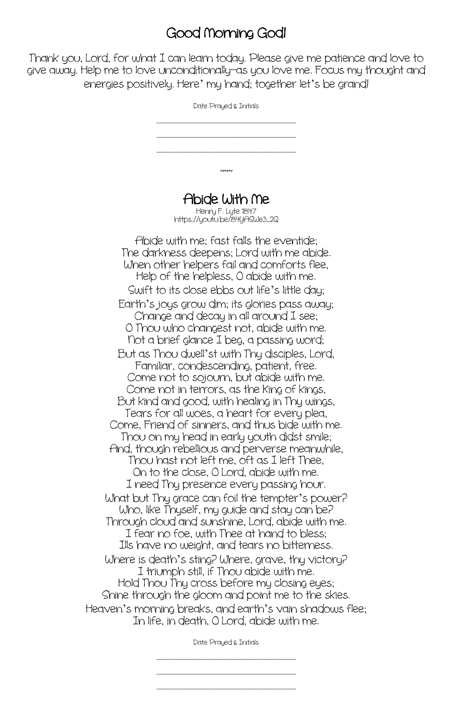### Good Norning God!

Thank you, Lord, for what I can learn today. Please give me patience and love to give away. Help me to love unconditionally—as you love me. Focus my thought and energies positively. Here' my hand; together let's be grand!

| Date Prayed & Initials                                                                                                                                                                                                                                                                                                   |
|--------------------------------------------------------------------------------------------------------------------------------------------------------------------------------------------------------------------------------------------------------------------------------------------------------------------------|
|                                                                                                                                                                                                                                                                                                                          |
|                                                                                                                                                                                                                                                                                                                          |
|                                                                                                                                                                                                                                                                                                                          |
| ่งงง                                                                                                                                                                                                                                                                                                                     |
| Abide With Me<br>Henry F. Lyte 1847                                                                                                                                                                                                                                                                                      |
| https://youtu.be/84YASWe3_2Q                                                                                                                                                                                                                                                                                             |
| Abide with me; fast falls the eventide;<br>The darkness deepens; Lord with me abide.<br>When other helpers fail and comforts flee,<br>Help of the helpless, O abide with me.<br>Swift to its close ebbs out life's little day;<br>Earth's joys grow dim; its glories pass away;<br>Change and decay in all around I see; |
| O Thou who changest not, abide with me.<br>Not a brief glance I beg, a passing word;                                                                                                                                                                                                                                     |
| But as Thou dwell'st with Thy disciples, Lord,<br>Familiar, condescending, patient, free.<br>Come not to sojourn, but abide with me.                                                                                                                                                                                     |
| Come not in terrors, as the King of kings,<br>But kind and good, with healing in Thy wings,<br>Tears for all woes, a heart for every plea,                                                                                                                                                                               |
| Come, Friend of sinners, and thus bide with me.<br>Thou on my head in early youth didst smile;                                                                                                                                                                                                                           |
| And, though rebellious and perverse meanwhile,<br>Thou hast not left me, oft as I left Thee,<br>On to the close, O Lord, abide with me.                                                                                                                                                                                  |
| I need Thy presence every passing hour.<br>What but Thy grace can foil the tempter's power?<br>Who, like Thyself, my guide and stay can be?                                                                                                                                                                              |
| Through cloud and sunshine, Lord, abide with me.<br>I fear no foe, with Thee at hand to bless;<br>Ills have no weight, and tears no bitterness.                                                                                                                                                                          |
| Where is death's sting? Where, grave, thy victory?<br>I triumph still, if Thou abide with me.                                                                                                                                                                                                                            |
| Hold Thou Thy cross before my closing eyes;<br>Shine through the gloom and point me to the skies.                                                                                                                                                                                                                        |
| Heaven's morning breaks, and earth's vain shadows flee;<br>In life, in death, O Lord, abide with me.                                                                                                                                                                                                                     |

Date Prayed & Initials

\_\_\_\_\_\_\_\_\_\_\_\_\_\_\_\_\_\_\_\_\_\_\_\_\_\_\_\_\_\_\_\_\_\_\_\_\_\_\_\_\_\_\_\_\_\_\_\_\_\_\_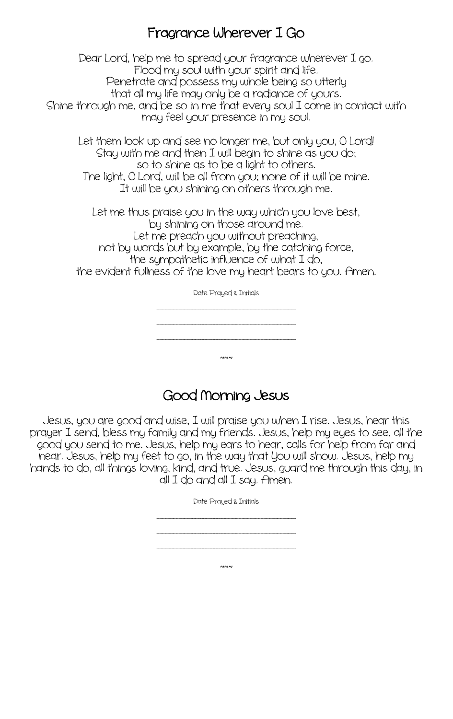#### Fragrance Wherever I Go

Dear Lord, help me to spread your fragrance wherever I go. Flood my soul with your spirit and life. Penetrate and possess my whole being so utterly that all my life may only be a radiance of yours. Shine through me, and be so in me that every soul I come in contact with may feel your presence in my soul.

Let them look up and see no longer me, but only you, O Lord! Stay with me and then I will begin to shine as you do; so to shine as to be a light to others. The light, O Lord, will be all from you; none of it will be mine. It will be you shining on others through me.

Let me thus praise you in the way which you love best, by shining on those around me. Let me preach you without preaching, not by words but by example, by the catching force, the sympathetic influence of what I do, the evident fullness of the love my heart bears to you. Amen.

Date Prayed & Initials

\_\_\_\_\_\_\_\_\_\_\_\_\_\_\_\_\_\_\_\_\_\_\_\_\_\_\_\_\_\_\_\_\_\_\_\_\_\_\_\_\_\_\_\_\_\_\_\_\_\_\_ \_\_\_\_\_\_\_\_\_\_\_\_\_\_\_\_\_\_\_\_\_\_\_\_\_\_\_\_\_\_\_\_\_\_\_\_\_\_\_\_\_\_\_\_\_\_\_\_\_\_\_ \_\_\_\_\_\_\_\_\_\_\_\_\_\_\_\_\_\_\_\_\_\_\_\_\_\_\_\_\_\_\_\_\_\_\_\_\_\_\_\_\_\_\_\_\_\_\_\_\_\_\_  $~\sim~$ 

#### Good Norning Jesus

Jesus, you are good and wise, I will praise you when I rise. Jesus, hear this prayer I send, bless my family and my friends. Jesus, help my eyes to see, all the good you send to me. Jesus, help my ears to hear, calls for help from far and near. Jesus, help my feet to go, in the way that You will show. Jesus, help my hands to do, all things loving, kind, and true. Jesus, guard me through this day, in all I do and all I say. Amen.

> Date Prayed & Initials \_\_\_\_\_\_\_\_\_\_\_\_\_\_\_\_\_\_\_\_\_\_\_\_\_\_\_\_\_\_\_\_\_\_\_\_\_\_\_\_\_\_\_\_\_\_\_\_\_\_\_

> \_\_\_\_\_\_\_\_\_\_\_\_\_\_\_\_\_\_\_\_\_\_\_\_\_\_\_\_\_\_\_\_\_\_\_\_\_\_\_\_\_\_\_\_\_\_\_\_\_\_\_ \_\_\_\_\_\_\_\_\_\_\_\_\_\_\_\_\_\_\_\_\_\_\_\_\_\_\_\_\_\_\_\_\_\_\_\_\_\_\_\_\_\_\_\_\_\_\_\_\_\_\_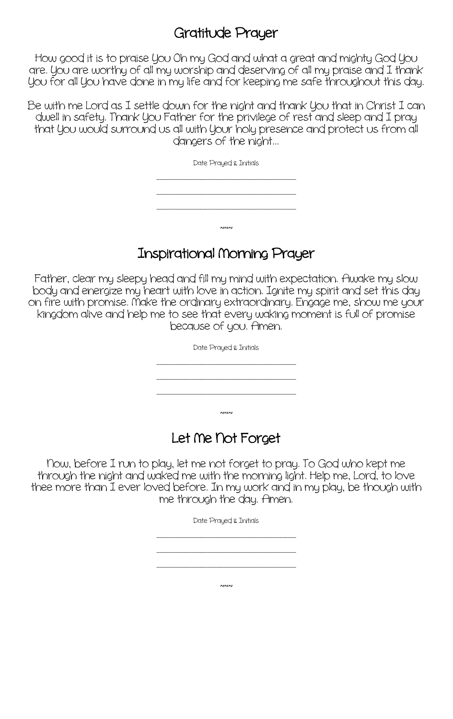#### Gratitude Prayer

How good it is to praise You Oh my God and what a great and mighty God You are. You are worthy of all my worship and deserving of all my praise and I thank You for all You have done in my life and for keeping me safe throughout this day.

Be with me Lord as I settle down for the night and thank You that in Christ I can dwell in safety. Thank You Father for the privilege of rest and sleep and I pray that You would surround us all with Your holy presence and protect us from all dangers of the night...

| Date Prayed & Initials |
|------------------------|
|                        |
|                        |
|                        |
|                        |
| $\sim$                 |

#### Inspirational Norning Prayer

Father, clear my sleepy head and fill my mind with expectation. Awake my slow body and energize my heart with love in action. Ignite my spirit and set this day on fire with promise. Nake the ordinary extraordinary. Engage me, show me your kingdom alive and help me to see that every waking moment is full of promise because of you. Amen.

| Date Prayed & Initials |
|------------------------|
|                        |
|                        |
| ่งงง                   |

# Let Ne Not Forget

Now, before I run to play, let me not forget to pray. To God who kept me through the night and waked me with the morning light. Help me, Lord, to love thee more than I ever loved before. In my work and in my play, be though with me through the day. Amen.

Date Prayed & Initials

\_\_\_\_\_\_\_\_\_\_\_\_\_\_\_\_\_\_\_\_\_\_\_\_\_\_\_\_\_\_\_\_\_\_\_\_\_\_\_\_\_\_\_\_\_\_\_\_\_\_\_ \_\_\_\_\_\_\_\_\_\_\_\_\_\_\_\_\_\_\_\_\_\_\_\_\_\_\_\_\_\_\_\_\_\_\_\_\_\_\_\_\_\_\_\_\_\_\_\_\_\_\_ \_\_\_\_\_\_\_\_\_\_\_\_\_\_\_\_\_\_\_\_\_\_\_\_\_\_\_\_\_\_\_\_\_\_\_\_\_\_\_\_\_\_\_\_\_\_\_\_\_\_\_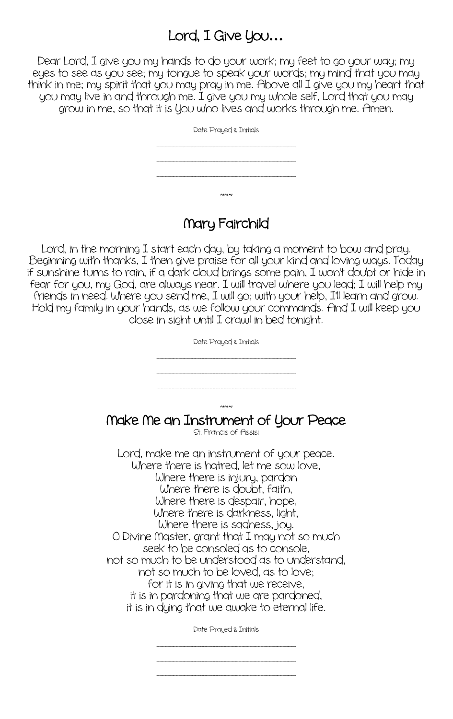### Lord, I Give You**…**

Dear Lord, I give you my hands to do your work; my feet to go your way; my eyes to see as you see; my tongue to speak your words; my mind that you may think in me; my spirit that you may pray in me. Above all I give you my heart that you may live in and through me. I give you my whole self, Lord that you may grow in me, so that it is You who lives and works through me. Amen.

| Date Prayed & Initials |
|------------------------|
|                        |
|                        |
|                        |
| ่งงง                   |

#### Nary Fairchild

Lord, in the morning I start each day, by taking a moment to bow and pray. Beginning with thanks, I then give praise for all your kind and loving ways. Today if sunshine turns to rain, if a dark cloud brings some pain, I won't doubt or hide in fear for you, my God, are always near. I will travel where you lead; I will help my friends in need. Where you send me, I will go; with your help, I'll learn and grow. Hold my family in your hands, as we follow your commands. And I will keep you close in sight until I crawl in bed tonight.

| Date Prayed & Initials                                                                                                                                                                                                                                                                                                                                                                                                                                                                                                                                                           |
|----------------------------------------------------------------------------------------------------------------------------------------------------------------------------------------------------------------------------------------------------------------------------------------------------------------------------------------------------------------------------------------------------------------------------------------------------------------------------------------------------------------------------------------------------------------------------------|
| ่งงง<br>Make Me an Instrument of Your Peace<br>St. Francis of Assisi                                                                                                                                                                                                                                                                                                                                                                                                                                                                                                             |
| Lord, make me an instrument of your peace.<br>Where there is hatred, let me sow love,<br>Where there is injury, pardon<br>Where there is doubt, faith,<br>Where there is despair, hope,<br>Where there is darkness, light,<br>Where there is sadness, joy.<br>O Divine Master, grant that I may not so much<br>seek to be consoled as to console,<br>not so much to be understood as to understand,<br>not so much to be loved, as to love;<br>for it is in giving that we receive,<br>it is in pardoning that we are pardoned,<br>it is in dying that we awake to eternal life. |
| Date Prayed & Initials                                                                                                                                                                                                                                                                                                                                                                                                                                                                                                                                                           |

\_\_\_\_\_\_\_\_\_\_\_\_\_\_\_\_\_\_\_\_\_\_\_\_\_\_\_\_\_\_\_\_\_\_\_\_\_\_\_\_\_\_\_\_\_\_\_\_\_\_\_ \_\_\_\_\_\_\_\_\_\_\_\_\_\_\_\_\_\_\_\_\_\_\_\_\_\_\_\_\_\_\_\_\_\_\_\_\_\_\_\_\_\_\_\_\_\_\_\_\_\_\_

\_\_\_\_\_\_\_\_\_\_\_\_\_\_\_\_\_\_\_\_\_\_\_\_\_\_\_\_\_\_\_\_\_\_\_\_\_\_\_\_\_\_\_\_\_\_\_\_\_\_\_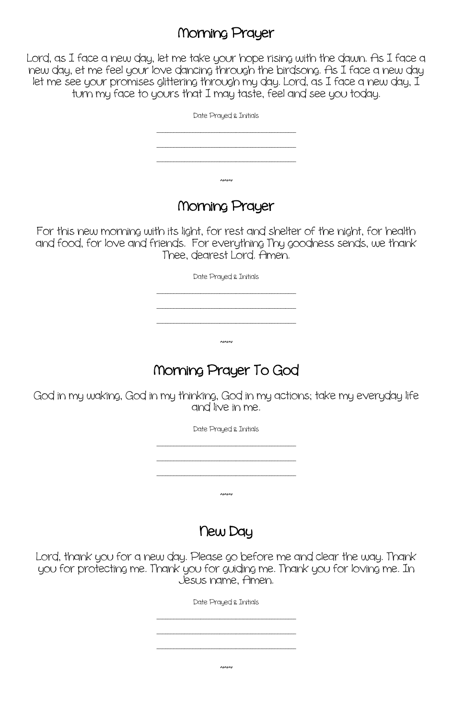#### Norning Prayer

Lord, as I face a new day, let me take your hope rising with the dawn. As I face a new day, et me feel your love dancing through the birdsong. As I face a new day let me see your promises glittering through my day. Lord, as I face a new day, I turn my face to yours that I may taste, feel and see you today.

| Date Prayed & Initials |
|------------------------|
|                        |
|                        |
| $\sim$                 |

#### Norning Prayer

For this new morning with its light, for rest and shelter of the night, for health and food, for love and friends. For everything Thy goodness sends, we thank Thee, dearest Lord. Amen.

Date Prayed & Initials

\_\_\_\_\_\_\_\_\_\_\_\_\_\_\_\_\_\_\_\_\_\_\_\_\_\_\_\_\_\_\_\_\_\_\_\_\_\_\_\_\_\_\_\_\_\_\_\_\_\_\_ \_\_\_\_\_\_\_\_\_\_\_\_\_\_\_\_\_\_\_\_\_\_\_\_\_\_\_\_\_\_\_\_\_\_\_\_\_\_\_\_\_\_\_\_\_\_\_\_\_\_\_ \_\_\_\_\_\_\_\_\_\_\_\_\_\_\_\_\_\_\_\_\_\_\_\_\_\_\_\_\_\_\_\_\_\_\_\_\_\_\_\_\_\_\_\_\_\_\_\_\_\_\_

# Norning Prayer To God

 $\sim$ 

God in my waking, God in my thinking, God in my actions; take my everyday life and live in me.

> Date Prayed & Initials \_\_\_\_\_\_\_\_\_\_\_\_\_\_\_\_\_\_\_\_\_\_\_\_\_\_\_\_\_\_\_\_\_\_\_\_\_\_\_\_\_\_\_\_\_\_\_\_\_\_\_ \_\_\_\_\_\_\_\_\_\_\_\_\_\_\_\_\_\_\_\_\_\_\_\_\_\_\_\_\_\_\_\_\_\_\_\_\_\_\_\_\_\_\_\_\_\_\_\_\_\_\_ \_\_\_\_\_\_\_\_\_\_\_\_\_\_\_\_\_\_\_\_\_\_\_\_\_\_\_\_\_\_\_\_\_\_\_\_\_\_\_\_\_\_\_\_\_\_\_\_\_\_\_  $~\sim~$

> > New Day

Lord, thank you for a new day. Please go before me and clear the way. Thank you for protecting me. Thank you for guiding me. Thank you for loving me. In Jesus name, Amen.

Date Prayed & Initials

\_\_\_\_\_\_\_\_\_\_\_\_\_\_\_\_\_\_\_\_\_\_\_\_\_\_\_\_\_\_\_\_\_\_\_\_\_\_\_\_\_\_\_\_\_\_\_\_\_\_\_ \_\_\_\_\_\_\_\_\_\_\_\_\_\_\_\_\_\_\_\_\_\_\_\_\_\_\_\_\_\_\_\_\_\_\_\_\_\_\_\_\_\_\_\_\_\_\_\_\_\_\_

 $~\sim~$ 

\_\_\_\_\_\_\_\_\_\_\_\_\_\_\_\_\_\_\_\_\_\_\_\_\_\_\_\_\_\_\_\_\_\_\_\_\_\_\_\_\_\_\_\_\_\_\_\_\_\_\_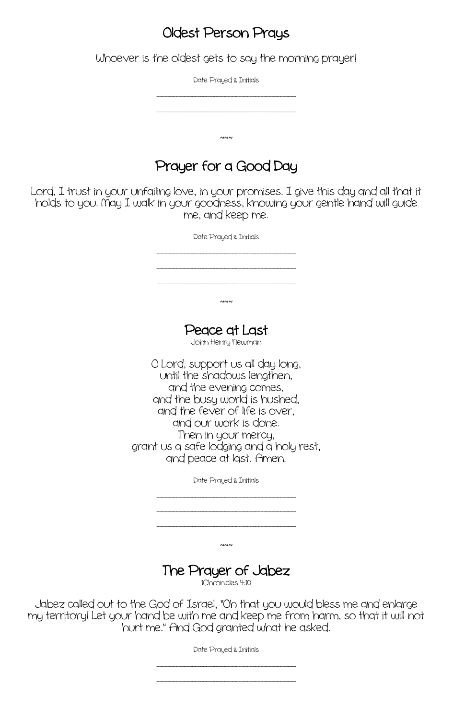#### Oldest Person Prays

Whoever is the oldest gets to say the morning prayer!

Date Prayed & Initials

\_\_\_\_\_\_\_\_\_\_\_\_\_\_\_\_\_\_\_\_\_\_\_\_\_\_\_\_\_\_\_\_\_\_\_\_\_\_\_\_\_\_\_\_\_\_\_\_\_\_\_

\_\_\_\_\_\_\_\_\_\_\_\_\_\_\_\_\_\_\_\_\_\_\_\_\_\_\_\_\_\_\_\_\_\_\_\_\_\_\_\_\_\_\_\_\_\_\_\_\_\_\_

 $~\sim~$ 

# Prayer for a Good Day

Lord, I trust in your unfailing love, in your promises. I give this day and all that it holds to you. Nay I walk in your goodness, knowing your gentle hand will guide me, and keep me.

> Date Prayed & Initials \_\_\_\_\_\_\_\_\_\_\_\_\_\_\_\_\_\_\_\_\_\_\_\_\_\_\_\_\_\_\_\_\_\_\_\_\_\_\_\_\_\_\_\_\_\_\_\_\_\_\_ \_\_\_\_\_\_\_\_\_\_\_\_\_\_\_\_\_\_\_\_\_\_\_\_\_\_\_\_\_\_\_\_\_\_\_\_\_\_\_\_\_\_\_\_\_\_\_\_\_\_\_ \_\_\_\_\_\_\_\_\_\_\_\_\_\_\_\_\_\_\_\_\_\_\_\_\_\_\_\_\_\_\_\_\_\_\_\_\_\_\_\_\_\_\_\_\_\_\_\_\_\_\_  $~\sim~$ Peace at Last<br>John Henry Newman O Lord, support us all day long, until the shadows lengthen, and the evening comes, and the busy world is hushed, and the fever of life is over, and our work is done. Then in your mercy, grant us a safe lodging and a holy rest, and peace at last. Amen. Date Prayed & Initials \_\_\_\_\_\_\_\_\_\_\_\_\_\_\_\_\_\_\_\_\_\_\_\_\_\_\_\_\_\_\_\_\_\_\_\_\_\_\_\_\_\_\_\_\_\_\_\_\_\_\_

> > $~\sim~$

\_\_\_\_\_\_\_\_\_\_\_\_\_\_\_\_\_\_\_\_\_\_\_\_\_\_\_\_\_\_\_\_\_\_\_\_\_\_\_\_\_\_\_\_\_\_\_\_\_\_\_ \_\_\_\_\_\_\_\_\_\_\_\_\_\_\_\_\_\_\_\_\_\_\_\_\_\_\_\_\_\_\_\_\_\_\_\_\_\_\_\_\_\_\_\_\_\_\_\_\_\_\_

#### The Prayer of Jabez

1Chronicles 4:10

Jabez called out to the God of Israel, "Oh that you would bless me and enlarge my territory! Let your hand be with me and keep me from harm, so that it will not hurt me." And God granted what he asked.

Date Prayed & Initials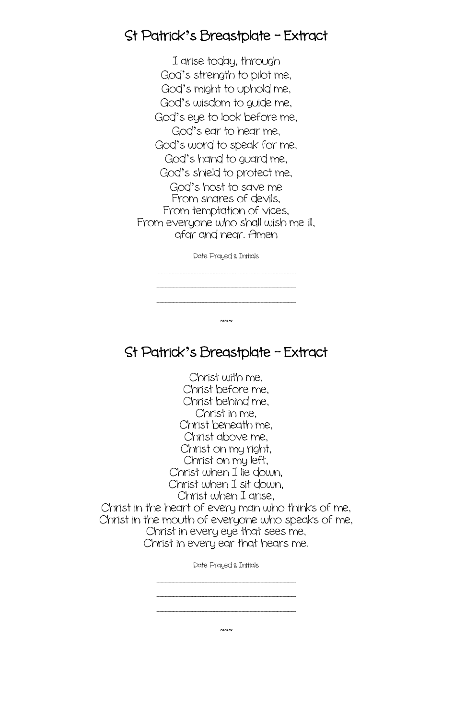#### St Patrick**'**s Breastplate – Extract

I arise today, through God's strength to pilot me, God's might to uphold me, God's wisdom to guide me, God's eye to look before me, God's ear to hear me, God's word to speak for me, God's hand to guard me, God's shield to protect me, God's host to save me From snares of devils, From temptation of vices, From everyone who shall wish me ill, afar and near. Amen

Date Prayed & Initials

\_\_\_\_\_\_\_\_\_\_\_\_\_\_\_\_\_\_\_\_\_\_\_\_\_\_\_\_\_\_\_\_\_\_\_\_\_\_\_\_\_\_\_\_\_\_\_\_\_\_\_

\_\_\_\_\_\_\_\_\_\_\_\_\_\_\_\_\_\_\_\_\_\_\_\_\_\_\_\_\_\_\_\_\_\_\_\_\_\_\_\_\_\_\_\_\_\_\_\_\_\_\_ \_\_\_\_\_\_\_\_\_\_\_\_\_\_\_\_\_\_\_\_\_\_\_\_\_\_\_\_\_\_\_\_\_\_\_\_\_\_\_\_\_\_\_\_\_\_\_\_\_\_\_

 $\sim$ 

St Patrick**'**s Breastplate – Extract

Christ with me, Christ before me, Christ behind me, Christ in me, Christ beneath me, Christ above me, Christ on my right, Christ on my left, Christ when I lie down, Christ when I sit down, Christ when I arise, Christ in the heart of every man who thinks of me, Christ in the mouth of everyone who speaks of me, Christ in every eye that sees me, Christ in every ear that hears me.

Date Prayed & Initials

\_\_\_\_\_\_\_\_\_\_\_\_\_\_\_\_\_\_\_\_\_\_\_\_\_\_\_\_\_\_\_\_\_\_\_\_\_\_\_\_\_\_\_\_\_\_\_\_\_\_\_ \_\_\_\_\_\_\_\_\_\_\_\_\_\_\_\_\_\_\_\_\_\_\_\_\_\_\_\_\_\_\_\_\_\_\_\_\_\_\_\_\_\_\_\_\_\_\_\_\_\_\_ \_\_\_\_\_\_\_\_\_\_\_\_\_\_\_\_\_\_\_\_\_\_\_\_\_\_\_\_\_\_\_\_\_\_\_\_\_\_\_\_\_\_\_\_\_\_\_\_\_\_\_

 $\sim$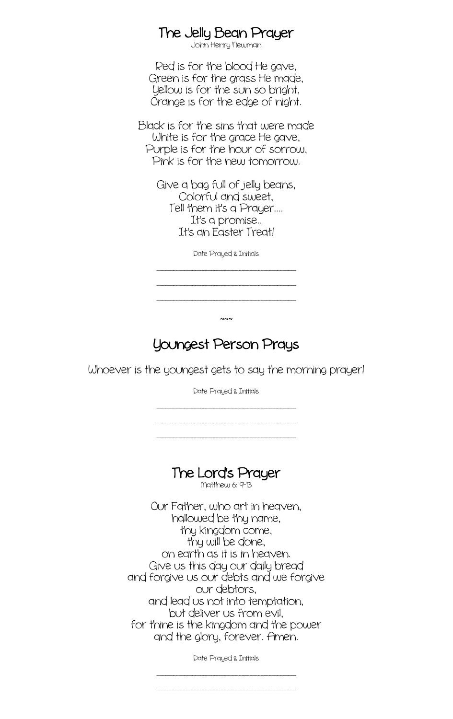# The Jelly Bean Prayer<br>John Henry Newman

Red is for the blood He gave, Green is for the grass He made, Yellow is for the sun so bright, Orange is for the edge of night.

Black is for the sins that were made White is for the grace He gave, Purple is for the hour of sorrow, Pink is for the new tomorrow.

> Give a bag full of jelly beans, Colorful and sweet, Tell them it's a Prayer.... It's a promise.. It's an Easter Treat!

> > Date Prayed & Initials

\_\_\_\_\_\_\_\_\_\_\_\_\_\_\_\_\_\_\_\_\_\_\_\_\_\_\_\_\_\_\_\_\_\_\_\_\_\_\_\_\_\_\_\_\_\_\_\_\_\_\_ \_\_\_\_\_\_\_\_\_\_\_\_\_\_\_\_\_\_\_\_\_\_\_\_\_\_\_\_\_\_\_\_\_\_\_\_\_\_\_\_\_\_\_\_\_\_\_\_\_\_\_ \_\_\_\_\_\_\_\_\_\_\_\_\_\_\_\_\_\_\_\_\_\_\_\_\_\_\_\_\_\_\_\_\_\_\_\_\_\_\_\_\_\_\_\_\_\_\_\_\_\_\_

#### Youngest Person Prays

 $~\sim~$ 

Whoever is the youngest gets to say the morning prayer!

Date Prayed & Initials

\_\_\_\_\_\_\_\_\_\_\_\_\_\_\_\_\_\_\_\_\_\_\_\_\_\_\_\_\_\_\_\_\_\_\_\_\_\_\_\_\_\_\_\_\_\_\_\_\_\_\_ \_\_\_\_\_\_\_\_\_\_\_\_\_\_\_\_\_\_\_\_\_\_\_\_\_\_\_\_\_\_\_\_\_\_\_\_\_\_\_\_\_\_\_\_\_\_\_\_\_\_\_ \_\_\_\_\_\_\_\_\_\_\_\_\_\_\_\_\_\_\_\_\_\_\_\_\_\_\_\_\_\_\_\_\_\_\_\_\_\_\_\_\_\_\_\_\_\_\_\_\_\_\_

# The Lord's Prayer<br>Matthew 6: 9-13

Our Father, who art in heaven, hallowed be thy name, thy kingdom come, thy will be done, on earth as it is in heaven. Give us this day our daily bread and forgive us our debts and we forgive our debtors, and lead us not into temptation, but deliver us from evil, for thine is the kingdom and the power and the glory, forever. Amen.

Date Prayed & Initials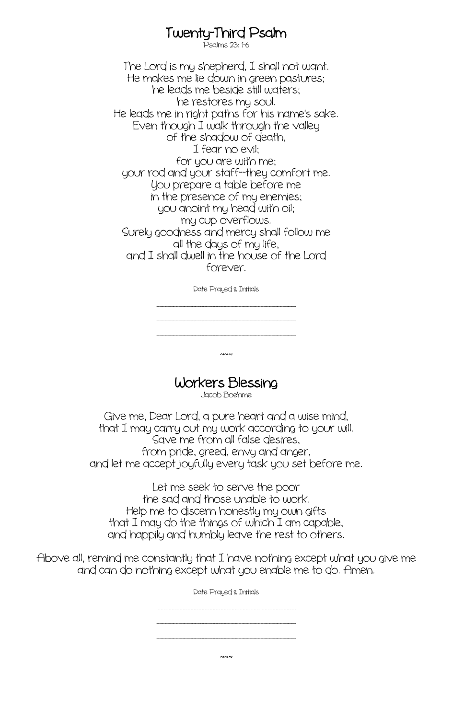# Twenty-Third Psalm<br>Psalms 23: 1-6

The Lord is my shepherd, I shall not want. He makes me lie down in green pastures; he leads me beside still waters; he restores my soul. He leads me in right paths for his name's sake. Even though I walk through the valley of the shadow of death, I fear no evil; for you are with me; your rod and your staff--they comfort me. You prepare a table before me in the presence of my enemies; you anoint my head with oil; my cup overflows. Surely goodness and mercy shall follow me all the days of my life, and I shall dwell in the house of the Lord forever.

Date Prayed & Initials

\_\_\_\_\_\_\_\_\_\_\_\_\_\_\_\_\_\_\_\_\_\_\_\_\_\_\_\_\_\_\_\_\_\_\_\_\_\_\_\_\_\_\_\_\_\_\_\_\_\_\_ \_\_\_\_\_\_\_\_\_\_\_\_\_\_\_\_\_\_\_\_\_\_\_\_\_\_\_\_\_\_\_\_\_\_\_\_\_\_\_\_\_\_\_\_\_\_\_\_\_\_\_ \_\_\_\_\_\_\_\_\_\_\_\_\_\_\_\_\_\_\_\_\_\_\_\_\_\_\_\_\_\_\_\_\_\_\_\_\_\_\_\_\_\_\_\_\_\_\_\_\_\_\_

Workers Blessing

 $~\sim~$ 

Give me, Dear Lord, a pure heart and a wise mind, that I may carry out my work according to your will. Save me from all false desires, from pride, greed, envy and anger, and let me accept joyfully every task you set before me.

Let me seek to serve the poor the sad and those unable to work. Help me to discern honestly my own gifts that I may do the things of which I am capable, and happily and humbly leave the rest to others.

Above all, remind me constantly that I have nothing except what you give me and can do nothing except what you enable me to do. Amen.

Date Prayed & Initials

\_\_\_\_\_\_\_\_\_\_\_\_\_\_\_\_\_\_\_\_\_\_\_\_\_\_\_\_\_\_\_\_\_\_\_\_\_\_\_\_\_\_\_\_\_\_\_\_\_\_\_ \_\_\_\_\_\_\_\_\_\_\_\_\_\_\_\_\_\_\_\_\_\_\_\_\_\_\_\_\_\_\_\_\_\_\_\_\_\_\_\_\_\_\_\_\_\_\_\_\_\_\_ \_\_\_\_\_\_\_\_\_\_\_\_\_\_\_\_\_\_\_\_\_\_\_\_\_\_\_\_\_\_\_\_\_\_\_\_\_\_\_\_\_\_\_\_\_\_\_\_\_\_\_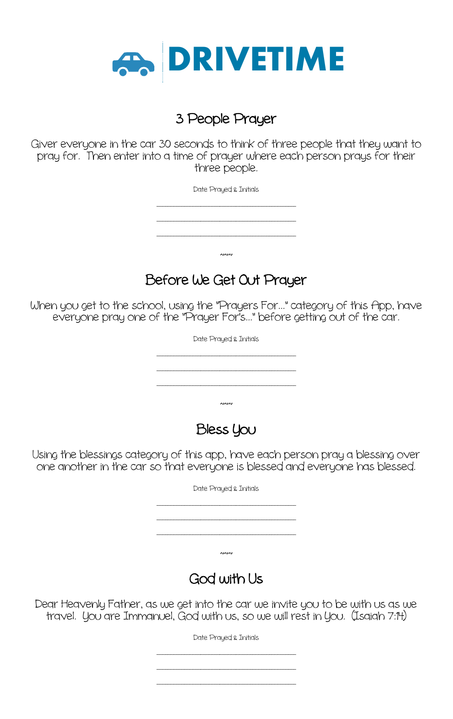

#### 3 People Prayer

Giver everyone in the car 30 seconds to think of three people that they want to pray for. Then enter into a time of prayer where each person prays for their three people.

> Date Prayed & Initials \_\_\_\_\_\_\_\_\_\_\_\_\_\_\_\_\_\_\_\_\_\_\_\_\_\_\_\_\_\_\_\_\_\_\_\_\_\_\_\_\_\_\_\_\_\_\_\_\_\_\_ \_\_\_\_\_\_\_\_\_\_\_\_\_\_\_\_\_\_\_\_\_\_\_\_\_\_\_\_\_\_\_\_\_\_\_\_\_\_\_\_\_\_\_\_\_\_\_\_\_\_\_ \_\_\_\_\_\_\_\_\_\_\_\_\_\_\_\_\_\_\_\_\_\_\_\_\_\_\_\_\_\_\_\_\_\_\_\_\_\_\_\_\_\_\_\_\_\_\_\_\_\_\_  $~\sim~$

# Before We Get Out Prayer

When you get to the school, using the "Prayers For..." category of this App, have everyone pray one of the "Prayer For's..." before getting out of the car.



Using the blessings category of this app, have each person pray a blessing over one another in the car so that everyone is blessed and everyone has blessed.

| Date Prayed & Initials |
|------------------------|
|                        |
|                        |
|                        |
| $\sim$                 |
| God with Us            |

Dear Heavenly Father, as we get into the car we invite you to be with us as we travel. You are Immanuel, God with us, so we will rest in You. (Isaiah 7:14)

Date Prayed & Initials

\_\_\_\_\_\_\_\_\_\_\_\_\_\_\_\_\_\_\_\_\_\_\_\_\_\_\_\_\_\_\_\_\_\_\_\_\_\_\_\_\_\_\_\_\_\_\_\_\_\_\_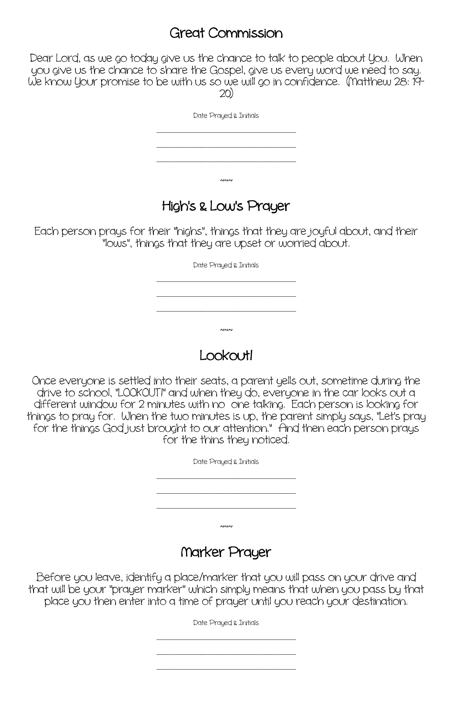#### Great Commission

Dear Lord, as we go today give us the chance to talk to people about You. When you give us the chance to share the Gospel, give us every word we need to say. We know your promise to be with us so we will go in confidence. (Matthew 28: 19-<br>20)

| Date Prayed & Initials |
|------------------------|
|                        |
|                        |
|                        |
|                        |
| $\sim$                 |

#### High's & Low's Prayer

Each person prays for their "highs", things that they are joyful about, and their "lows", things that they are upset or worried about.

Date Prayed & Initials

\_\_\_\_\_\_\_\_\_\_\_\_\_\_\_\_\_\_\_\_\_\_\_\_\_\_\_\_\_\_\_\_\_\_\_\_\_\_\_\_\_\_\_\_\_\_\_\_\_\_\_ \_\_\_\_\_\_\_\_\_\_\_\_\_\_\_\_\_\_\_\_\_\_\_\_\_\_\_\_\_\_\_\_\_\_\_\_\_\_\_\_\_\_\_\_\_\_\_\_\_\_\_

 $~\sim~$ 

\_\_\_\_\_\_\_\_\_\_\_\_\_\_\_\_\_\_\_\_\_\_\_\_\_\_\_\_\_\_\_\_\_\_\_\_\_\_\_\_\_\_\_\_\_\_\_\_\_\_\_

### Lookout!

Once everyone is settled into their seats, a parent yells out, sometime during the drive to school, "LOOKOUT!" and when they do, everyone in the car looks out a different window for 2 minutes with no one talking. Each person is looking for things to pray for. When the two minutes is up, the parent simply says, "Let's pray for the things God just brought to our attention." And then each person prays for the thins they noticed.

| Date Prayed & Initials |
|------------------------|
|                        |
|                        |
|                        |
| $\sim$                 |
|                        |

#### Narker Prayer

Before you leave, identify a place/marker that you will pass on your drive and that will be your "prayer marker" which simply means that when you pass by that place you then enter into a time of prayer until you reach your destination.

Date Prayed & Initials

\_\_\_\_\_\_\_\_\_\_\_\_\_\_\_\_\_\_\_\_\_\_\_\_\_\_\_\_\_\_\_\_\_\_\_\_\_\_\_\_\_\_\_\_\_\_\_\_\_\_\_ \_\_\_\_\_\_\_\_\_\_\_\_\_\_\_\_\_\_\_\_\_\_\_\_\_\_\_\_\_\_\_\_\_\_\_\_\_\_\_\_\_\_\_\_\_\_\_\_\_\_\_ \_\_\_\_\_\_\_\_\_\_\_\_\_\_\_\_\_\_\_\_\_\_\_\_\_\_\_\_\_\_\_\_\_\_\_\_\_\_\_\_\_\_\_\_\_\_\_\_\_\_\_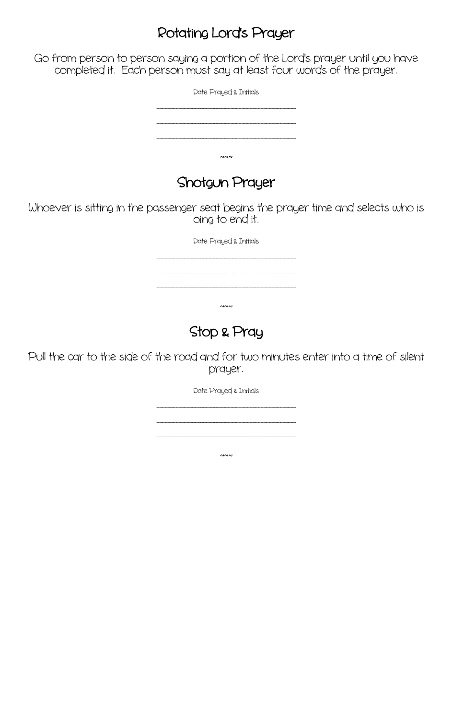#### Rotating Lord's Prayer

Go from person to person saying a portion of the Lord's prayer until you have completed it. Each person must say at least four words of the prayer.

Date Prayed & Initials

\_\_\_\_\_\_\_\_\_\_\_\_\_\_\_\_\_\_\_\_\_\_\_\_\_\_\_\_\_\_\_\_\_\_\_\_\_\_\_\_\_\_\_\_\_\_\_\_\_\_\_ \_\_\_\_\_\_\_\_\_\_\_\_\_\_\_\_\_\_\_\_\_\_\_\_\_\_\_\_\_\_\_\_\_\_\_\_\_\_\_\_\_\_\_\_\_\_\_\_\_\_\_ \_\_\_\_\_\_\_\_\_\_\_\_\_\_\_\_\_\_\_\_\_\_\_\_\_\_\_\_\_\_\_\_\_\_\_\_\_\_\_\_\_\_\_\_\_\_\_\_\_\_\_  $~\sim~$ 

### Shotgun Prayer

Whoever is sitting in the passenger seat begins the prayer time and selects who is oing to end it.

Date Prayed & Initials

\_\_\_\_\_\_\_\_\_\_\_\_\_\_\_\_\_\_\_\_\_\_\_\_\_\_\_\_\_\_\_\_\_\_\_\_\_\_\_\_\_\_\_\_\_\_\_\_\_\_\_ \_\_\_\_\_\_\_\_\_\_\_\_\_\_\_\_\_\_\_\_\_\_\_\_\_\_\_\_\_\_\_\_\_\_\_\_\_\_\_\_\_\_\_\_\_\_\_\_\_\_\_ \_\_\_\_\_\_\_\_\_\_\_\_\_\_\_\_\_\_\_\_\_\_\_\_\_\_\_\_\_\_\_\_\_\_\_\_\_\_\_\_\_\_\_\_\_\_\_\_\_\_\_

 $~\sim~$ 

# Stop & Pray

Pull the car to the side of the road and for two minutes enter into a time of silent prayer.

Date Prayed & Initials

 $\overline{\phantom{a}}$ 

\_\_\_\_\_\_\_\_\_\_\_\_\_\_\_\_\_\_\_\_\_\_\_\_\_\_\_\_\_\_\_\_\_\_\_\_\_\_\_\_\_\_\_\_\_\_\_\_\_\_\_

\_\_\_\_\_\_\_\_\_\_\_\_\_\_\_\_\_\_\_\_\_\_\_\_\_\_\_\_\_\_\_\_\_\_\_\_\_\_\_\_\_\_\_\_\_\_\_\_\_\_\_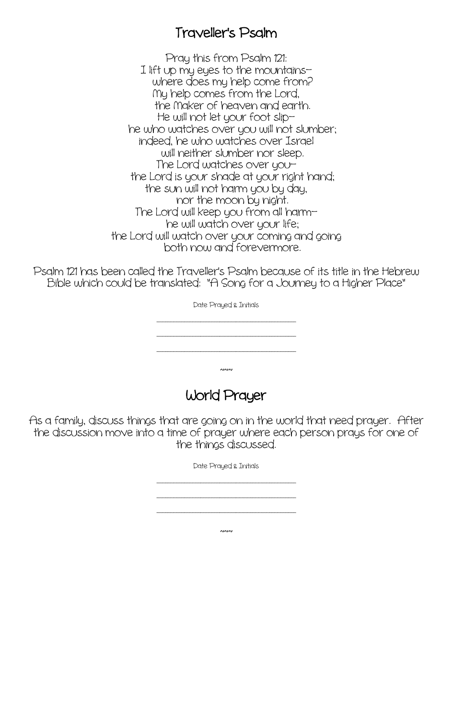#### Traveller's Psalm

Pray this from Psalm 121: I lift up my eyes to the mountains— where does my help come from? Ny help comes from the Lord, the Maker of heaven and earth.<br>He will not let your foot sliphe who watches over you will not slumber; indeed, he who watches over Israel will neither slumber nor sleep.<br>The Lord watches over you the Lord is your shade at your right hand; the sun will not harm you by day, nor the moon by night. The Lord will keep you from all harm he will watch over your life; the Lord will watch over your coming and going<br>both now and forevermore.

Psalm 121 has been called the Traveller's Psalm because of its title in the Hebrew Bible which could be translated: "A Song for a Journey to a Higher Place"

> Date Prayed & Initials \_\_\_\_\_\_\_\_\_\_\_\_\_\_\_\_\_\_\_\_\_\_\_\_\_\_\_\_\_\_\_\_\_\_\_\_\_\_\_\_\_\_\_\_\_\_\_\_\_\_\_ \_\_\_\_\_\_\_\_\_\_\_\_\_\_\_\_\_\_\_\_\_\_\_\_\_\_\_\_\_\_\_\_\_\_\_\_\_\_\_\_\_\_\_\_\_\_\_\_\_\_\_ \_\_\_\_\_\_\_\_\_\_\_\_\_\_\_\_\_\_\_\_\_\_\_\_\_\_\_\_\_\_\_\_\_\_\_\_\_\_\_\_\_\_\_\_\_\_\_\_\_\_\_  $~\sim~$

> > World Prayer

As a family, discuss things that are going on in the world that need prayer. After the discussion move into a time of prayer where each person prays for one of the things discussed.

> Date Prayed & Initials \_\_\_\_\_\_\_\_\_\_\_\_\_\_\_\_\_\_\_\_\_\_\_\_\_\_\_\_\_\_\_\_\_\_\_\_\_\_\_\_\_\_\_\_\_\_\_\_\_\_\_ \_\_\_\_\_\_\_\_\_\_\_\_\_\_\_\_\_\_\_\_\_\_\_\_\_\_\_\_\_\_\_\_\_\_\_\_\_\_\_\_\_\_\_\_\_\_\_\_\_\_\_ \_\_\_\_\_\_\_\_\_\_\_\_\_\_\_\_\_\_\_\_\_\_\_\_\_\_\_\_\_\_\_\_\_\_\_\_\_\_\_\_\_\_\_\_\_\_\_\_\_\_\_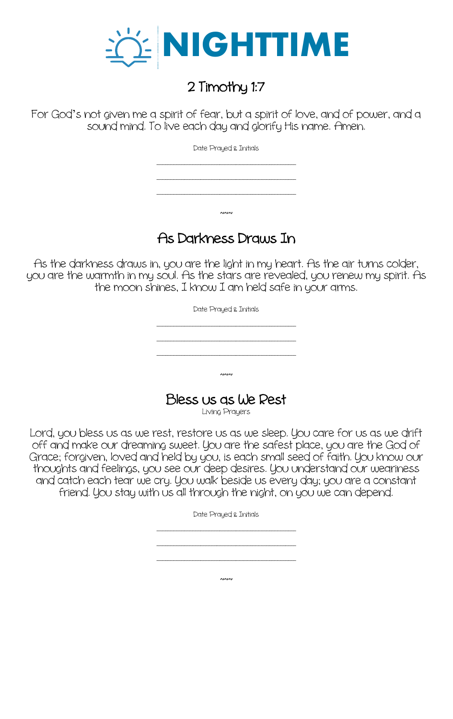

# 2 Timothy 1:7

For God's not given me a spirit of fear, but a spirit of love, and of power, and a sound mind. To live each day and glorify His name. Amen.

Date Prayed & Initials

\_\_\_\_\_\_\_\_\_\_\_\_\_\_\_\_\_\_\_\_\_\_\_\_\_\_\_\_\_\_\_\_\_\_\_\_\_\_\_\_\_\_\_\_\_\_\_\_\_\_\_

\_\_\_\_\_\_\_\_\_\_\_\_\_\_\_\_\_\_\_\_\_\_\_\_\_\_\_\_\_\_\_\_\_\_\_\_\_\_\_\_\_\_\_\_\_\_\_\_\_\_\_ \_\_\_\_\_\_\_\_\_\_\_\_\_\_\_\_\_\_\_\_\_\_\_\_\_\_\_\_\_\_\_\_\_\_\_\_\_\_\_\_\_\_\_\_\_\_\_\_\_\_\_

### As Darkness Draws In

 $~\sim~$ 

As the darkness draws in, you are the light in my heart. As the air turns colder, you are the warmth in my soul. As the stars are revealed, you renew my spirit. As the moon shines, I know I am held safe in your arms.

> Date Prayed & Initials \_\_\_\_\_\_\_\_\_\_\_\_\_\_\_\_\_\_\_\_\_\_\_\_\_\_\_\_\_\_\_\_\_\_\_\_\_\_\_\_\_\_\_\_\_\_\_\_\_\_\_ \_\_\_\_\_\_\_\_\_\_\_\_\_\_\_\_\_\_\_\_\_\_\_\_\_\_\_\_\_\_\_\_\_\_\_\_\_\_\_\_\_\_\_\_\_\_\_\_\_\_\_ \_\_\_\_\_\_\_\_\_\_\_\_\_\_\_\_\_\_\_\_\_\_\_\_\_\_\_\_\_\_\_\_\_\_\_\_\_\_\_\_\_\_\_\_\_\_\_\_\_\_\_  $~\sim~$

Bless us as We Rest Living Prayers

Lord, you bless us as we rest, restore us as we sleep. You care for us as we drift off and make our dreaming sweet. You are the safest place, you are the God of Grace; forgiven, loved and held by you, is each small seed of faith. You know our thoughts and feelings, you see our deep desires. You understand our weariness and catch each tear we cry. You walk beside us every day; you are a constant friend. You stay with us all through the night, on you we can depend.

> Date Prayed & Initials \_\_\_\_\_\_\_\_\_\_\_\_\_\_\_\_\_\_\_\_\_\_\_\_\_\_\_\_\_\_\_\_\_\_\_\_\_\_\_\_\_\_\_\_\_\_\_\_\_\_\_ \_\_\_\_\_\_\_\_\_\_\_\_\_\_\_\_\_\_\_\_\_\_\_\_\_\_\_\_\_\_\_\_\_\_\_\_\_\_\_\_\_\_\_\_\_\_\_\_\_\_\_ \_\_\_\_\_\_\_\_\_\_\_\_\_\_\_\_\_\_\_\_\_\_\_\_\_\_\_\_\_\_\_\_\_\_\_\_\_\_\_\_\_\_\_\_\_\_\_\_\_\_\_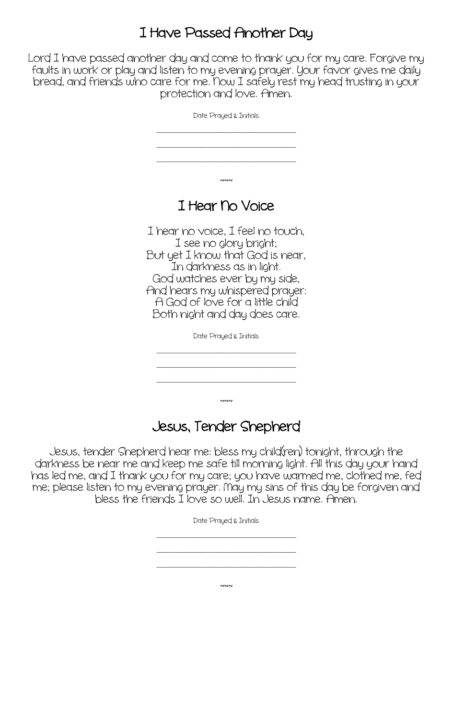### I Have Passed Another Day

Lord I have passed another day and come to thank you for my care. Forgive my faults in work or play and listen to my evening prayer. Your favor gives me daily bread, and friends who care for me. Now I safely rest my head trusting in your protection and love. Amen.

| Date Prayed & Initials                                                                                                                                                                                                                                                                       |
|----------------------------------------------------------------------------------------------------------------------------------------------------------------------------------------------------------------------------------------------------------------------------------------------|
|                                                                                                                                                                                                                                                                                              |
|                                                                                                                                                                                                                                                                                              |
| ៱៲៱៲៱៲                                                                                                                                                                                                                                                                                       |
| I Hear No Voice                                                                                                                                                                                                                                                                              |
| I hear no voice, I feel no touch,<br>I see no glory bright;<br>But yet I know that God is near,<br>In darkness as in light.<br>God watches ever by my side,<br>And hears my whispered prayer:<br>A God of love for a little child<br>Both night and day does care.<br>Date Prayed & Initials |
|                                                                                                                                                                                                                                                                                              |
|                                                                                                                                                                                                                                                                                              |

#### Jesus, Tender Shepherd

\_\_\_\_\_\_\_\_\_\_\_\_\_\_\_\_\_\_\_\_\_\_\_\_\_\_\_\_\_\_\_\_\_\_\_\_\_\_\_\_\_\_\_\_\_\_\_\_\_\_\_

 $~\sim~$ 

Jesus, tender Shepherd hear me: bless my child(ren) tonight, through the darkness be near me and keep me safe till morning light. All this day your hand has led me, and I thank you for my care; you have warmed me, clothed me, fed me; please listen to my evening prayer. Nay my sins of this day be forgiven and bless the friends I love so well. In Jesus name. Amen.

Date Prayed & Initials

\_\_\_\_\_\_\_\_\_\_\_\_\_\_\_\_\_\_\_\_\_\_\_\_\_\_\_\_\_\_\_\_\_\_\_\_\_\_\_\_\_\_\_\_\_\_\_\_\_\_\_ \_\_\_\_\_\_\_\_\_\_\_\_\_\_\_\_\_\_\_\_\_\_\_\_\_\_\_\_\_\_\_\_\_\_\_\_\_\_\_\_\_\_\_\_\_\_\_\_\_\_\_ \_\_\_\_\_\_\_\_\_\_\_\_\_\_\_\_\_\_\_\_\_\_\_\_\_\_\_\_\_\_\_\_\_\_\_\_\_\_\_\_\_\_\_\_\_\_\_\_\_\_\_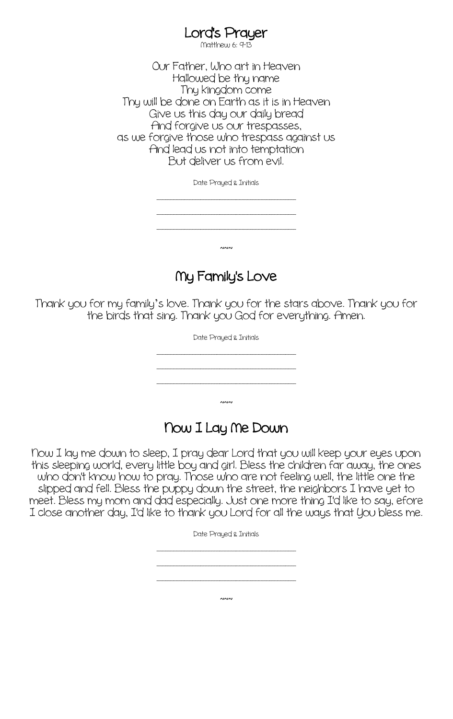# Lord's Prayer<br>Matthew 6: 9-13

Our Father, Who art in Heaven Hallowed be thy name Thy kingdom come Thy will be done on Earth as it is in Heaven Give us this day our daily bread And forgive us our trespasses, as we forgive those who trespass against us And lead us not into temptation But deliver us from evil.

Date Prayed & Initials

\_\_\_\_\_\_\_\_\_\_\_\_\_\_\_\_\_\_\_\_\_\_\_\_\_\_\_\_\_\_\_\_\_\_\_\_\_\_\_\_\_\_\_\_\_\_\_\_\_\_\_ \_\_\_\_\_\_\_\_\_\_\_\_\_\_\_\_\_\_\_\_\_\_\_\_\_\_\_\_\_\_\_\_\_\_\_\_\_\_\_\_\_\_\_\_\_\_\_\_\_\_\_ \_\_\_\_\_\_\_\_\_\_\_\_\_\_\_\_\_\_\_\_\_\_\_\_\_\_\_\_\_\_\_\_\_\_\_\_\_\_\_\_\_\_\_\_\_\_\_\_\_\_\_

 $~\sim~$ 

Ny Family's Love

Thank you for my family's love. Thank you for the stars above. Thank you for the birds that sing. Thank you God for everything. Amen.

Date Prayed & Initials

\_\_\_\_\_\_\_\_\_\_\_\_\_\_\_\_\_\_\_\_\_\_\_\_\_\_\_\_\_\_\_\_\_\_\_\_\_\_\_\_\_\_\_\_\_\_\_\_\_\_\_ \_\_\_\_\_\_\_\_\_\_\_\_\_\_\_\_\_\_\_\_\_\_\_\_\_\_\_\_\_\_\_\_\_\_\_\_\_\_\_\_\_\_\_\_\_\_\_\_\_\_\_

\_\_\_\_\_\_\_\_\_\_\_\_\_\_\_\_\_\_\_\_\_\_\_\_\_\_\_\_\_\_\_\_\_\_\_\_\_\_\_\_\_\_\_\_\_\_\_\_\_\_\_

 $~\sim~$ 

#### Now I Lay Ne Down

Now I lay me down to sleep, I pray dear Lord that you will keep your eyes upon this sleeping world, every little boy and girl. Bless the children far away, the ones who don't know how to pray. Those who are not feeling well, the little one the slipped and fell. Bless the puppy down the street, the neighbors I have yet to meet. Bless my mom and dad especially. Just one more thing I'd like to say, efore I close another day, I'd like to thank you Lord for all the ways that You bless me.

Date Prayed & Initials

\_\_\_\_\_\_\_\_\_\_\_\_\_\_\_\_\_\_\_\_\_\_\_\_\_\_\_\_\_\_\_\_\_\_\_\_\_\_\_\_\_\_\_\_\_\_\_\_\_\_\_

\_\_\_\_\_\_\_\_\_\_\_\_\_\_\_\_\_\_\_\_\_\_\_\_\_\_\_\_\_\_\_\_\_\_\_\_\_\_\_\_\_\_\_\_\_\_\_\_\_\_\_ \_\_\_\_\_\_\_\_\_\_\_\_\_\_\_\_\_\_\_\_\_\_\_\_\_\_\_\_\_\_\_\_\_\_\_\_\_\_\_\_\_\_\_\_\_\_\_\_\_\_\_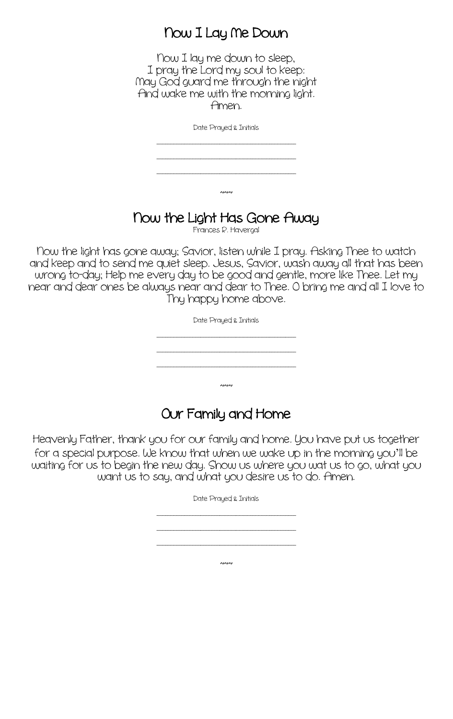#### Now I Lay Ne Down

Now I lay me down to sleep, I pray the Lord my soul to keep: Nay God guard me through the night And wake me with the morning light. Amen.

Date Prayed & Initials

\_\_\_\_\_\_\_\_\_\_\_\_\_\_\_\_\_\_\_\_\_\_\_\_\_\_\_\_\_\_\_\_\_\_\_\_\_\_\_\_\_\_\_\_\_\_\_\_\_\_\_ \_\_\_\_\_\_\_\_\_\_\_\_\_\_\_\_\_\_\_\_\_\_\_\_\_\_\_\_\_\_\_\_\_\_\_\_\_\_\_\_\_\_\_\_\_\_\_\_\_\_\_

\_\_\_\_\_\_\_\_\_\_\_\_\_\_\_\_\_\_\_\_\_\_\_\_\_\_\_\_\_\_\_\_\_\_\_\_\_\_\_\_\_\_\_\_\_\_\_\_\_\_\_

 $~\sim~$ 

# <sup>N</sup>ow the Light Has Gone Away Frances R. Havergal

Now the light has gone away; Savior, listen while I pray. Asking Thee to watch and keep and to send me quiet sleep. Jesus, Savior, wash away all that has been wrong to-day; Help me every day to be good and gentle, more like Thee. Let my near and dear ones be always near and dear to Thee. O bring me and all I love to Thy happy home above.

Date Prayed & Initials

\_\_\_\_\_\_\_\_\_\_\_\_\_\_\_\_\_\_\_\_\_\_\_\_\_\_\_\_\_\_\_\_\_\_\_\_\_\_\_\_\_\_\_\_\_\_\_\_\_\_\_ \_\_\_\_\_\_\_\_\_\_\_\_\_\_\_\_\_\_\_\_\_\_\_\_\_\_\_\_\_\_\_\_\_\_\_\_\_\_\_\_\_\_\_\_\_\_\_\_\_\_\_ \_\_\_\_\_\_\_\_\_\_\_\_\_\_\_\_\_\_\_\_\_\_\_\_\_\_\_\_\_\_\_\_\_\_\_\_\_\_\_\_\_\_\_\_\_\_\_\_\_\_\_

#### Our Family and Home

 $\sim$ 

Heavenly Father, thank you for our family and home. You have put us together for a special purpose. We know that when we wake up in the morning you'll be waiting for us to begin the new day. Show us where you wat us to go, what you want us to say, and what you desire us to do. Amen.

> Date Prayed & Initials \_\_\_\_\_\_\_\_\_\_\_\_\_\_\_\_\_\_\_\_\_\_\_\_\_\_\_\_\_\_\_\_\_\_\_\_\_\_\_\_\_\_\_\_\_\_\_\_\_\_\_ \_\_\_\_\_\_\_\_\_\_\_\_\_\_\_\_\_\_\_\_\_\_\_\_\_\_\_\_\_\_\_\_\_\_\_\_\_\_\_\_\_\_\_\_\_\_\_\_\_\_\_ \_\_\_\_\_\_\_\_\_\_\_\_\_\_\_\_\_\_\_\_\_\_\_\_\_\_\_\_\_\_\_\_\_\_\_\_\_\_\_\_\_\_\_\_\_\_\_\_\_\_\_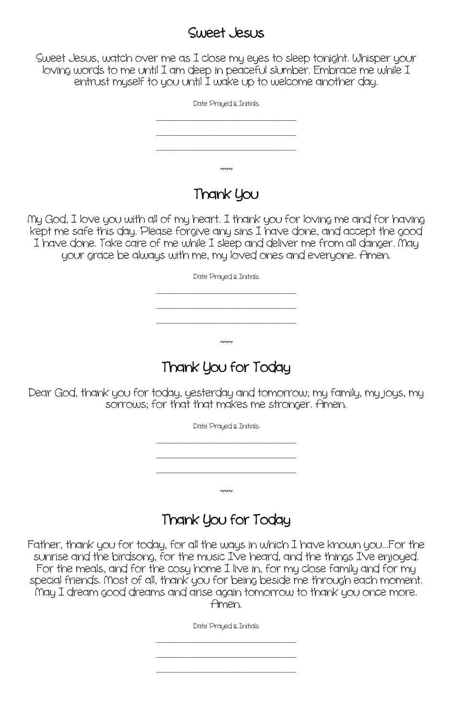#### Sweet Jesus

Sweet Jesus, watch over me as I close my eyes to sleep tonight. Whisper your loving words to me until I am deep in peaceful slumber. Embrace me while I entrust myself to you until I wake up to welcome another day.

| Date Prayed & Initials |  |
|------------------------|--|
|                        |  |
|                        |  |
| $\sim$                 |  |

### Thank You

Ny God, I love you with all of my heart. I thank you for loving me and for having kept me safe this day. Please forgive any sins I have done, and accept the good I have done. Take care of me while I sleep and deliver me from all danger. Nay your grace be always with me, my loved ones and everyone. Amen.

Date Prayed & Initials

\_\_\_\_\_\_\_\_\_\_\_\_\_\_\_\_\_\_\_\_\_\_\_\_\_\_\_\_\_\_\_\_\_\_\_\_\_\_\_\_\_\_\_\_\_\_\_\_\_\_\_ \_\_\_\_\_\_\_\_\_\_\_\_\_\_\_\_\_\_\_\_\_\_\_\_\_\_\_\_\_\_\_\_\_\_\_\_\_\_\_\_\_\_\_\_\_\_\_\_\_\_\_ \_\_\_\_\_\_\_\_\_\_\_\_\_\_\_\_\_\_\_\_\_\_\_\_\_\_\_\_\_\_\_\_\_\_\_\_\_\_\_\_\_\_\_\_\_\_\_\_\_\_\_

# Thank You for Today

 $~\sim~$ 

Dear God, thank you for today, yesterday and tomorrow; my family, my joys, my sorrows; for that that makes me stronger. Amen.

Date Prayed & Initials

\_\_\_\_\_\_\_\_\_\_\_\_\_\_\_\_\_\_\_\_\_\_\_\_\_\_\_\_\_\_\_\_\_\_\_\_\_\_\_\_\_\_\_\_\_\_\_\_\_\_\_

\_\_\_\_\_\_\_\_\_\_\_\_\_\_\_\_\_\_\_\_\_\_\_\_\_\_\_\_\_\_\_\_\_\_\_\_\_\_\_\_\_\_\_\_\_\_\_\_\_\_\_ \_\_\_\_\_\_\_\_\_\_\_\_\_\_\_\_\_\_\_\_\_\_\_\_\_\_\_\_\_\_\_\_\_\_\_\_\_\_\_\_\_\_\_\_\_\_\_\_\_\_\_

# Thank You for Today

 $~\sim~$ 

Father, thank you for today, for all the ways in which I have known you...For the sunrise and the birdsong, for the music I've heard, and the things I've enjoyed. For the meals, and for the cosy home I live in, for my close family and for my special friends. Nost of all, thank you for being beside me through each moment. Nay I dream good dreams and arise again tomorrow to thank you once more. Amen.

Date Prayed & Initials

\_\_\_\_\_\_\_\_\_\_\_\_\_\_\_\_\_\_\_\_\_\_\_\_\_\_\_\_\_\_\_\_\_\_\_\_\_\_\_\_\_\_\_\_\_\_\_\_\_\_\_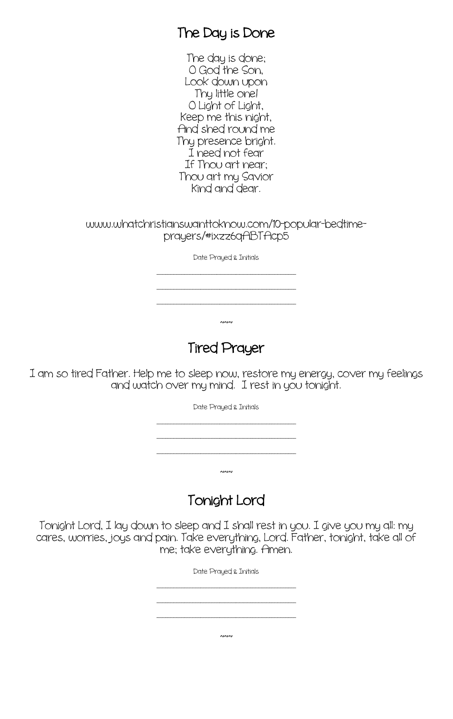#### The Day is Done

The day is done; O God the Son, Look down upon Thy little one! O Light of Light, Keep me this night, And shed round me Thy presence bright. I need not fear If Thou art near; Thou art my Savior Kind and dear.

www.whatchristianswanttoknow.com/10-popular-bedtimeprayers/#ixzz6qABTAcp5

Date Prayed & Initials

\_\_\_\_\_\_\_\_\_\_\_\_\_\_\_\_\_\_\_\_\_\_\_\_\_\_\_\_\_\_\_\_\_\_\_\_\_\_\_\_\_\_\_\_\_\_\_\_\_\_\_

\_\_\_\_\_\_\_\_\_\_\_\_\_\_\_\_\_\_\_\_\_\_\_\_\_\_\_\_\_\_\_\_\_\_\_\_\_\_\_\_\_\_\_\_\_\_\_\_\_\_\_ \_\_\_\_\_\_\_\_\_\_\_\_\_\_\_\_\_\_\_\_\_\_\_\_\_\_\_\_\_\_\_\_\_\_\_\_\_\_\_\_\_\_\_\_\_\_\_\_\_\_\_

 $~\sim~$ 

### Tired Prayer

I am so tired Father. Help me to sleep now, restore my energy, cover my feelings and watch over my mind. I rest in you tonight.

Date Prayed & Initials

\_\_\_\_\_\_\_\_\_\_\_\_\_\_\_\_\_\_\_\_\_\_\_\_\_\_\_\_\_\_\_\_\_\_\_\_\_\_\_\_\_\_\_\_\_\_\_\_\_\_\_ \_\_\_\_\_\_\_\_\_\_\_\_\_\_\_\_\_\_\_\_\_\_\_\_\_\_\_\_\_\_\_\_\_\_\_\_\_\_\_\_\_\_\_\_\_\_\_\_\_\_\_

\_\_\_\_\_\_\_\_\_\_\_\_\_\_\_\_\_\_\_\_\_\_\_\_\_\_\_\_\_\_\_\_\_\_\_\_\_\_\_\_\_\_\_\_\_\_\_\_\_\_\_

 $~\sim~$ 

Tonight Lord

Tonight Lord, I lay down to sleep and I shall rest in you. I give you my all: my cares, worries, joys and pain. Take everything, Lord. Father, tonight, take all of me; take everything. Amen.

Date Prayed & Initials

\_\_\_\_\_\_\_\_\_\_\_\_\_\_\_\_\_\_\_\_\_\_\_\_\_\_\_\_\_\_\_\_\_\_\_\_\_\_\_\_\_\_\_\_\_\_\_\_\_\_\_ \_\_\_\_\_\_\_\_\_\_\_\_\_\_\_\_\_\_\_\_\_\_\_\_\_\_\_\_\_\_\_\_\_\_\_\_\_\_\_\_\_\_\_\_\_\_\_\_\_\_\_

\_\_\_\_\_\_\_\_\_\_\_\_\_\_\_\_\_\_\_\_\_\_\_\_\_\_\_\_\_\_\_\_\_\_\_\_\_\_\_\_\_\_\_\_\_\_\_\_\_\_\_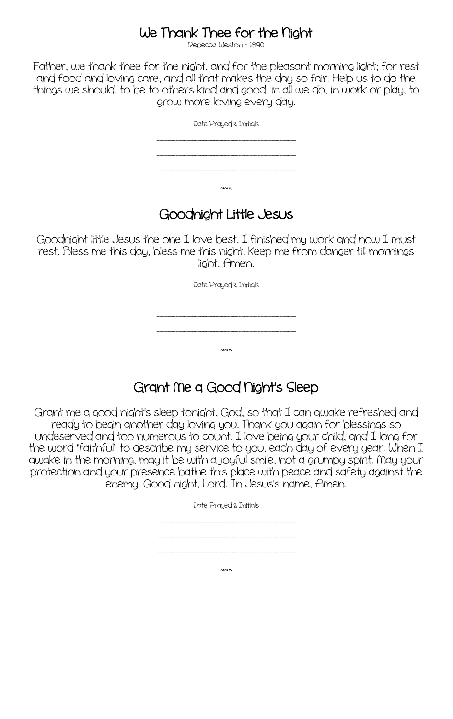# We Thank Thee for the Night

Father, we thank thee for the night, and for the pleasant morning light; for rest and food and loving care, and all that makes the day so fair. Help us to do the things we should, to be to others kind and good; in all we do, in work or play, to grow more loving every day.

| Date Prayed & Initials |
|------------------------|
|                        |
|                        |
| ∼∾                     |

### Goodnight Little Jesus

Goodnight little Jesus the one I love best. I finished my work and now I must rest. Bless me this day, bless me this night. Keep me from danger till mornings light. Amen.

| Date Prayed & Initials |  |
|------------------------|--|
|                        |  |
|                        |  |
| $\sim$                 |  |

### Grant Ne a Good Night's Sleep

Grant me a good night's sleep tonight, God, so that I can awake refreshed and ready to begin another day loving you. Thank you again for blessings so undeserved and too numerous to count. I love being your child, and I long for the word "faithful" to describe my service to you, each day of every year. When I awake in the morning, may it be with a joyful smile, not a grumpy spirit. Nay your protection and your presence bathe this place with peace and safety against the enemy. Good night, Lord. In Jesus's name, Amen.

|  |                                                                                                                         | Date Prayed & Initials |  |                                                                                                                                                                                                                                |
|--|-------------------------------------------------------------------------------------------------------------------------|------------------------|--|--------------------------------------------------------------------------------------------------------------------------------------------------------------------------------------------------------------------------------|
|  | final field field field field field field field field field field field field field field field field field field field | ____________           |  |                                                                                                                                                                                                                                |
|  |                                                                                                                         |                        |  | including including including including including including including including including including including including including including including including including including including including including including in |